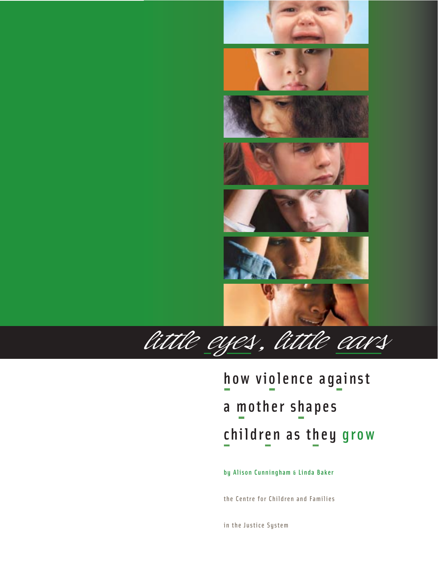

# how violence against a mother shapes children as they grow

by Alison Cunningham & Linda Baker

the Centre for Children and Families

in the Justice System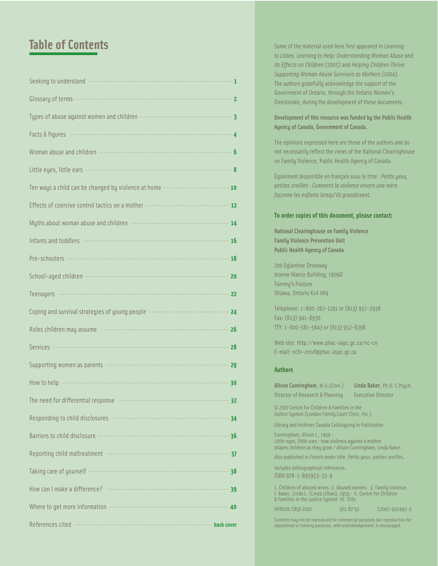## *little eyes, l*<br>Example *earner*<br>*earner le of Contents little ears* **Table of Contents**

| Ten ways a child can be changed by violence at home --------------------- 10       |    |
|------------------------------------------------------------------------------------|----|
| Effects of coercive control tactics on a mother ------------------------------- 12 |    |
| Myths about woman abuse and children ----------------------------------- 14        |    |
|                                                                                    |    |
|                                                                                    |    |
|                                                                                    |    |
|                                                                                    |    |
| Coping and survival strategies of young people ---------------------------         | 24 |
|                                                                                    | 26 |
|                                                                                    | 28 |
|                                                                                    | 29 |
|                                                                                    | 30 |
|                                                                                    |    |
|                                                                                    | 34 |
|                                                                                    |    |
|                                                                                    |    |
|                                                                                    |    |
|                                                                                    |    |
|                                                                                    | 40 |
|                                                                                    |    |

Some of the material used here first appeared in *Learning to Listen, Learning to Help: Understanding Woman Abuse and its Effects on Children* (2005) and *Helping Children Thrive: Supporting Woman Abuse Survivors as Mothers* (2004). The authors gratefully acknowledge the support of the Government of Ontario, through the Ontario Women's Directorate, during the development of these documents.

Development of this resource was funded by the Public Health Agency of Canada, Government of Canada.

The opinions expressed here are those of the authors and do not necessarily reflect the views of the National Clearinghouse on Family Violence, Public Health Agency of Canada.

Également disponible en français sous le titre : *Petits yeux, petites oreilles : Comment la violence envers une mère façonne les enfants lorsqu'ils grandissent*.

#### **To order copies of this document, please contact:**

National Clearinghouse on Family Violence Family Violence Prevention Unit Public Health Agency of Canada

200 Eglantine Driveway Jeanne Mance Building, 1909D Tunney's Pasture Ottawa, Ontario K1A 0K9

Telephone: 1-800-267-1291 or (613) 957-2938 Fax: (613) 941-8930 TTY: 1-800-561-5643 or (613) 952-6396

Web site: http://www.phac-aspc.gc.ca/nc-cn E-mail: ncfv-cnivf@phac-aspc.gc.ca

#### **Authors**

| Alison Cunningham, M.A. (Crim.)                                                                                                                             | Linda Baker, Ph.D. C. Psych. |
|-------------------------------------------------------------------------------------------------------------------------------------------------------------|------------------------------|
| Director of Research & Planning                                                                                                                             | <b>Executive Director</b>    |
| © 2007 Centre for Children & Families in the<br>Justice System (London Family Court Clinic, Inc.)                                                           |                              |
| Library and Archives Canada Cataloguing in Publication                                                                                                      |                              |
| Cunningham, Alison J., 1959 -<br>Little eyes, little ears : how violence against a mother<br>shapes children as they grow / Alison Cunningham, Linda Baker. |                              |

Also published in French under title: Petits yeux, petites oreilles.

Includes bibliographical references. ISBN 978-1-895953-32-9

1. Children of abused wives. 2. Abused women. 3. Family violence. I. Baker, Linda L. (Linda Lillian), 1955- II. Centre for Children & Families in the Justice System III. Title.

HV6626.C856 2007 362.82'92 C2007-902492-0

Contents may not be reproduced for commercial purposes but reproduction for educational or training purposes, with acknowledgement, is encouraged.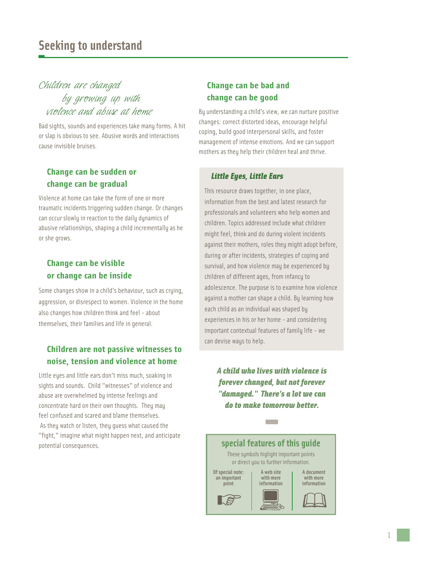## *Children are changed by growing up with violence and abuse at home*

Bad sights, sounds and experiences take many forms. A hit or slap is obvious to see. Abusive words and interactions cause invisible bruises.

## **Change can be sudden or change can be gradual**

Violence at home can take the form of one or more traumatic incidents triggering sudden change. Or changes can occur slowly in reaction to the daily dynamics of abusive relationships, shaping a child incrementally as he or she grows.

## **Change can be visible or change can be inside**

Some changes show in a child's behaviour, such as crying, aggression, or disrespect to women. Violence in the home also changes how children think and feel - about themselves, their families and life in general.

## **Children are not passive witnesses to noise, tension and violence at home**

Little eyes and little ears don't miss much, soaking in sights and sounds. Child "witnesses" of violence and abuse are overwhelmed by intense feelings and concentrate hard on their own thoughts. They may feel confused and scared and blame themselves. As they watch or listen, they guess what caused the "fight," imagine what might happen next, and anticipate potential consequences.

## **Change can be bad and change can be good**

By understanding a child's view, we can nurture positive changes: correct distorted ideas, encourage helpful coping, build good interpersonal skills, and foster management of intense emotions. And we can support mothers as they help their children heal and thrive.

#### *Little Eyes, Little Ears*

This resource draws together, in one place, information from the best and latest research for professionals and volunteers who help women and children. Topics addressed include what children might feel, think and do during violent incidents against their mothers, roles they might adopt before, during or after incidents, strategies of coping and survival, and how violence may be experienced by children of different ages, from infancy to adolescence. The purpose is to examine how violence against a mother can shape a child. By learning how each child as an individual was shaped by experiences in his or her home - and considering important contextual features of family life - we can devise ways to help.

*A child who lives with violence is forever changed, but not forever "damaged." There's a lot we can do to make tomorrow better.*

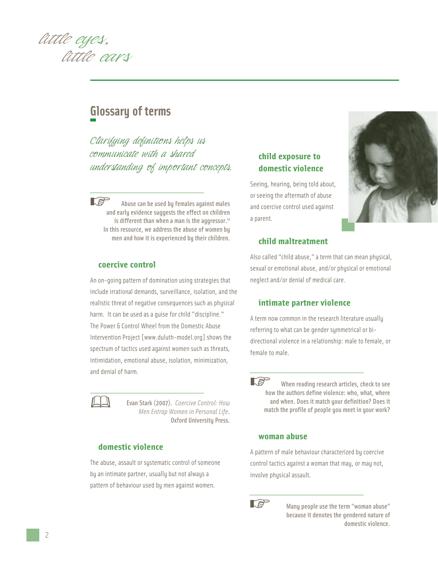

## **Glossary of terms**

*Clarifying definitions helps us communicate with a shared understanding of important concepts.*

 $\mathbb{R}^n$ Abuse can be used by females against males and early evidence suggests the effect on children is different than when a man is the aggressor. $14$ In this resource, we address the abuse of women by men and how it is experienced by their children.

#### **coercive control**

An on-going pattern of domination using strategies that include irrational demands, surveillance, isolation, and the realistic threat of negative consequences such as physical harm. It can be used as a guise for child "discipline." The Power & Control Wheel from the Domestic Abuse Intervention Project [www.duluth-model.org] shows the spectrum of tactics used against women such as threats, intimidation, emotional abuse, isolation, minimization, and denial of harm.



Evan Stark (2007). *Coercive Control: How Men Entrap Women in Personal Life*. Oxford University Press.

#### **domestic violence**

The abuse, assault or systematic control of someone by an intimate partner, usually but not always a pattern of behaviour used by men against women.

## **child exposure to domestic violence**

Seeing, hearing, being told about, or seeing the aftermath of abuse and coercive control used against a parent.



#### **child maltreatment**

Also called "child abuse," a term that can mean physical, sexual or emotional abuse, and/or physical or emotional neglect and/or denial of medical care.

#### **intimate partner violence**

A term now common in the research literature usually referring to what can be gender symmetrical or bidirectional violence in a relationship: male to female, or female to male.

 $\mathbb{R}^3$ When reading research articles, check to see how the authors define violence: who, what, where and when. Does it match your definition? Does it match the profile of people you meet in your work?

#### **woman abuse**

A pattern of male behaviour characterized by coercive control tactics against a woman that may, or may not, involve physical assault.



Many people use the term "woman abuse" because it denotes the gendered nature of domestic violence.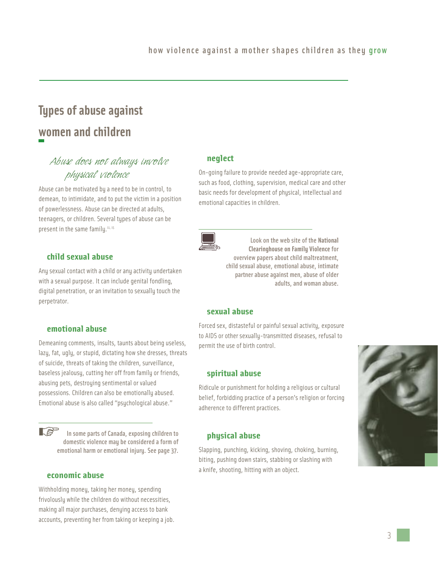## **Types of abuse against women and children**

## *Abuse does not always involve physical violence*

Abuse can be motivated by a need to be in control, to demean, to intimidate, and to put the victim in a position of powerlessness. Abuse can be directed at adults, teenagers, or children. Several types of abuse can be present in the same family.<sup>11, 15</sup>

#### **child sexual abuse**

Any sexual contact with a child or any activity undertaken with a sexual purpose. It can include genital fondling, digital penetration, or an invitation to sexually touch the perpetrator.

#### **emotional abuse**

Demeaning comments, insults, taunts about being useless, lazy, fat, ugly, or stupid, dictating how she dresses, threats of suicide, threats of taking the children, surveillance, baseless jealousy, cutting her off from family or friends, abusing pets, destroying sentimental or valued possessions. Children can also be emotionally abused. Emotional abuse is also called "psychological abuse."

**LS** In some parts of Canada, exposing children to domestic violence may be considered a form of emotional harm or emotional injury. See page 37.

#### **economic abuse**

Withholding money, taking her money, spending frivolously while the children do without necessities, making all major purchases, denying access to bank accounts, preventing her from taking or keeping a job.

#### **neglect**

On-going failure to provide needed age-appropriate care, such as food, clothing, supervision, medical care and other basic needs for development of physical, intellectual and emotional capacities in children.



Look on the web site of the **National Clearinghouse on Family Violence**for overview papers about child maltreatment, child sexual abuse, emotional abuse, intimate partner abuse against men, abuse of older adults, and woman abuse.

#### **sexual abuse**

Forced sex, distasteful or painful sexual activity, exposure to AIDS or other sexually-transmitted diseases, refusal to permit the use of birth control.

#### **spiritual abuse**

Ridicule or punishment for holding a religious or cultural belief, forbidding practice of a person's religion or forcing adherence to different practices.

#### **physical abuse**

Slapping, punching, kicking, shoving, choking, burning, biting, pushing down stairs, stabbing or slashing with a knife, shooting, hitting with an object.

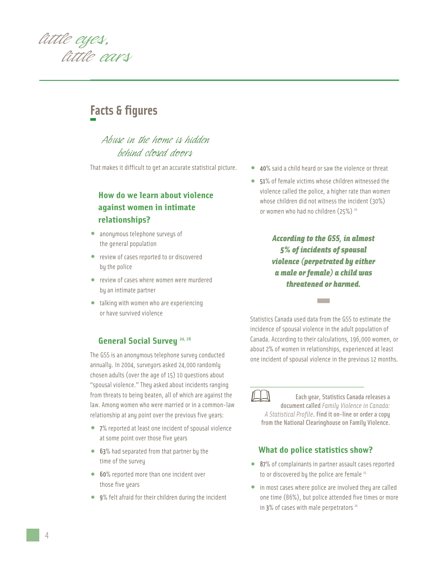

## **Facts & figures**

*Abuse in the home is hidden behind closed doors*

That makes it difficult to get an accurate statistical picture.

## **How do we learn about violence against women in intimate relationships?**

- anonymous telephone surveys of the general population
- review of cases reported to or discovered by the police
- review of cases where women were murdered by an intimate partner
- talking with women who are experiencing or have survived violence

#### **General Social Survey** 24, 26

The GSS is an anonymous telephone survey conducted annually. In 2004, surveyors asked 24,000 randomly chosen adults (over the age of 15) 10 questions about "spousal violence." They asked about incidents ranging from threats to being beaten, all of which are against the law. Among women who were married or in a common-law relationship at any point over the previous five years:

- <sup>7</sup>% reported at least one incident of spousal violence at some point over those five years
- 63% had separated from that partner by the time of the survey
- 60% reported more than one incident over those five years
- 9% felt afraid for their children during the incident
- 40% said a child heard or saw the violence or threat
- 51% of female victims whose children witnessed the violence called the police, a higher rate than women whose children did not witness the incident (30%) or women who had no children (25%)<sup>24</sup>

*According to the GSS, in almost 5% of incidents of spousal violence (perpetrated by either a male or female) a child was threatened or harmed.* **-**

Statistics Canada used data from the GSS to estimate the incidence of spousal violence in the adult population of Canada. According to their calculations, 196,000 women, or about 2% of women in relationships, experienced at least one incident of spousal violence in the previous 12 months.

Each year, Statistics Canada releases a document called *Family Violence in Canada: A Statistical Profile*. Find it on-line or order a copy from the National Clearinghouse on Family Violence.

#### **What do police statistics show?**

- 87% of complainants in partner assault cases reported to or discovered by the police are female  $25$
- in most cases where police are involved they are called one time (86%), but police attended five times or more in 3% of cases with male perpetrators<sup>24</sup>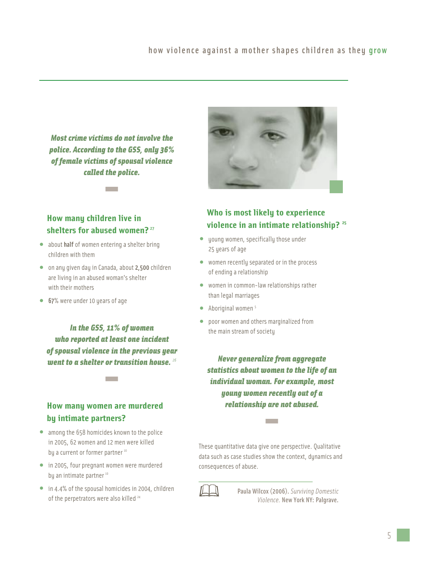*Most crime victims do not involve the police. According to the GSS, only 36% of female victims of spousal violence called the police.* **-**

## **How many children live in shelters for abused women?** <sup>27</sup>

- about half of women entering a shelter bring children with them
- on any given day in Canada, about 2,500 children are living in an abused woman's shelter with their mothers
- <sup>67</sup>% were under 10 years of age

*In the GSS, 11% of women who reported at least one incident of spousal violence in the previous year went to a shelter or transition house. <sup>26</sup>* **-**

## **How many women are murdered by intimate partners?**

- among the 658 homicides known to the police in 2005, 62 women and 12 men were killed by a current or former partner<sup>10</sup>
- in 2005, four pregnant women were murdered by an intimate partner<sup>10</sup>
- in 4.4% of the spousal homicides in 2004, children of the perpetrators were also killed<sup>24</sup>



## **Who is most likely to experience violence in an intimate relationship? <sup>25</sup>**

- young women, specifically those under 25 years of age
- women recently separated or in the process of ending a relationship
- women in common-law relationships rather than legal marriages
- $\bullet$  Aboriginal women<sup>5</sup>
- poor women and others marginalized from the main stream of society

*Never generalize from aggregate statistics about women to the life of an individual woman. For example, most young women recently out of a relationship are not abused.* **-**

These quantitative data give one perspective. Qualitative data such as case studies show the context, dynamics and consequences of abuse.



Paula Wilcox (2006). *Surviving Domestic Violence.* New York NY: Palgrave.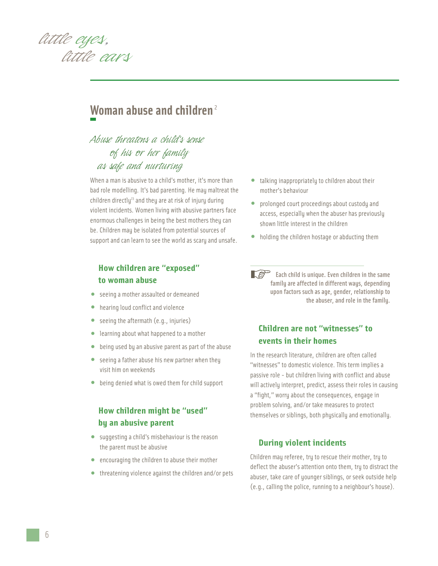

## **Woman abuse and children**<sup>2</sup>

## *Abuse threatens a child's sense of his or her family as safe and nurturing*

When a man is abusive to a child's mother, it's more than bad role modelling. It's bad parenting. He may maltreat the children directly<sup>23</sup> and they are at risk of injury during violent incidents. Women living with abusive partners face enormous challenges in being the best mothers they can be. Children may be isolated from potential sources of support and can learn to see the world as scary and unsafe.

## **How children are "exposed" to woman abuse**

- seeing a mother assaulted or demeaned
- hearing loud conflict and violence
- seeing the aftermath (e.g., injuries)
- learning about what happened to a mother
- being used by an abusive parent as part of the abuse
- seeing a father abuse his new partner when they visit him on weekends
- being denied what is owed them for child support

### **How children might be "used" by an abusive parent**

- suggesting a child's misbehaviour is the reason the parent must be abusive
- encouraging the children to abuse their mother
- threatening violence against the children and/or pets
- talking inappropriately to children about their mother's behaviour
- prolonged court proceedings about custody and access, especially when the abuser has previously shown little interest in the children
- holding the children hostage or abducting them
- $\mathbb{R}^{\mathbb{S}^{\mathbb{S}}}$  Each child is unique. Even children in the same family are affected in different ways, depending upon factors such as age, gender, relationship to the abuser, and role in the family.

#### **Children are not "witnesses" to events in their homes**

In the research literature, children are often called "witnesses" to domestic violence. This term implies a passive role - but children living with conflict and abuse will actively interpret, predict, assess their roles in causing a "fight," worry about the consequences, engage in problem solving, and/or take measures to protect themselves or siblings, both physically and emotionally.

#### **During violent incidents**

Children may referee, try to rescue their mother, try to deflect the abuser's attention onto them, try to distract the abuser, take care of younger siblings, or seek outside help (e.g., calling the police, running to a neighbour's house).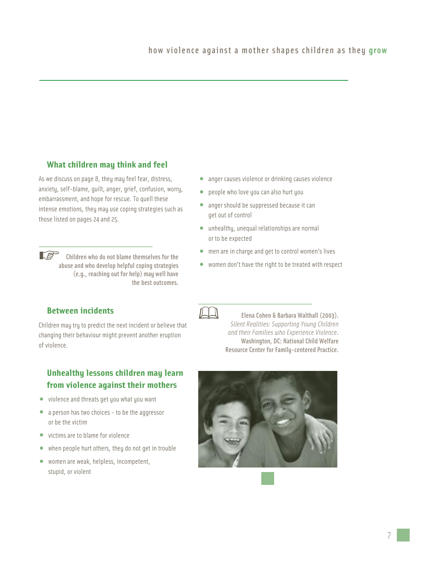#### **What children may think and feel**

As we discuss on page 8, they may feel fear, distress, anxiety, self-blame, guilt, anger, grief, confusion, worry, embarrassment, and hope for rescue. To quell these intense emotions, they may use coping strategies such as those listed on pages 24 and 25.

 $\mathbb{R}^{\mathbb{S}^n}$ Children who do not blame themselves for the abuse and who develop helpful coping strategies (e.g., reaching out for help) may well have the best outcomes.

#### **Between incidents**

Children may try to predict the next incident or believe that changing their behaviour might prevent another eruption of violence.

## **Unhealthy lessons children may learn from violence against their mothers**

- violence and threats get you what you want
- a person has two choices to be the aggressor or be the victim
- victims are to blame for violence
- when people hurt others, they do not get in trouble
- women are weak, helpless, incompetent, stupid, or violent
- anger causes violence or drinking causes violence
- people who love you can also hurt you
- anger should be suppressed because it can get out of control
- unhealthy, unequal relationships are normal or to be expected
- men are in charge and get to control women's lives
- women don't have the right to be treated with respect



Elena Cohen & Barbara Walthall (2003). *Silent Realities: Supporting Young Children and their Families who Experience Violence*. Washington, DC: National Child Welfare Resource Center for Family-centered Practice.

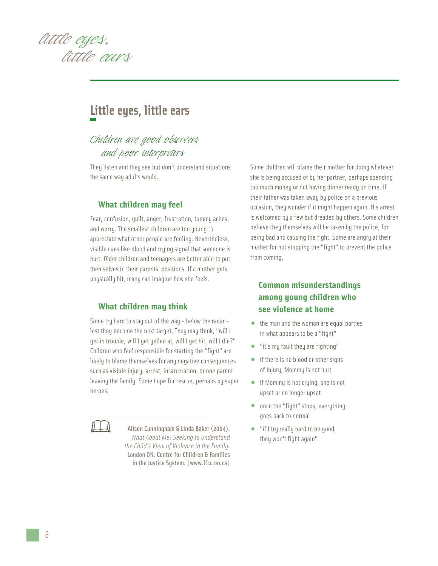

## **Little eyes, little ears**

## *Children are good observers and poor interpreters*

They listen and they see but don't understand situations the same way adults would.

#### **What children may feel**

Fear, confusion, guilt, anger, frustration, tummy aches, and worry. The smallest children are too young to appreciate what other people are feeling. Nevertheless, visible cues like blood and crying signal that someone is hurt. Older children and teenagers are better able to put themselves in their parents' positions. If a mother gets physically hit, many can imagine how she feels.

#### **What children may think**

Some try hard to stay out of the way - below the radar lest they become the next target. They may think, "will I get in trouble, will I get yelled at, will I get hit, will I die?" Children who feel responsible for starting the "fight" are likely to blame themselves for any negative consequences such as visible injury, arrest, incarceration, or one parent leaving the family. Some hope for rescue, perhaps by super heroes.

Alison Cunningham & Linda Baker (2004). *What About Me! Seeking to Understand the Child's View of Violence in the Family*. London ON: Centre for Children & Families in the Justice System. [www.lfcc.on.ca]

Some children will blame their mother for doing whatever she is being accused of by her partner, perhaps spending too much money or not having dinner ready on time. If their father was taken away by police on a previous occasion, they wonder if it might happen again. His arrest is welcomed by a few but dreaded by others. Some children believe they themselves will be taken by the police, for being bad and causing the fight. Some are angry at their mother for not stopping the "fight" to prevent the police from coming.

## **Common misunderstandings among young children who see violence at home**

- the man and the woman are equal parties in what appears to be a "fight"
- "it's my fault they are fighting"
- if there is no blood or other signs of injury, Mommy is not hurt
- if Mommy is not crying, she is not upset or no longer upset
- once the "fight" stops, everything goes back to normal
- "if I try really hard to be good, they won't fight again"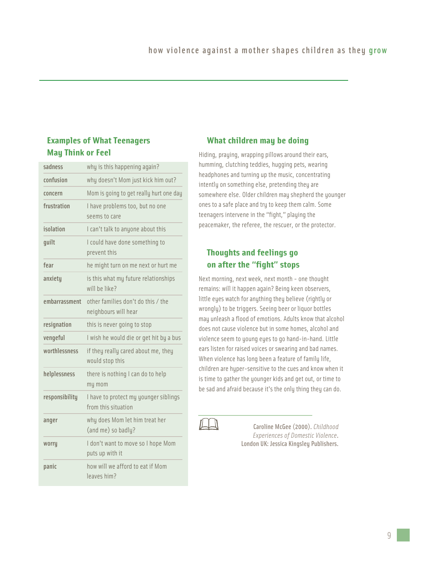## **Examples of What Teenagers May Think or Feel**

| sadness        | why is this happening again?                                 |
|----------------|--------------------------------------------------------------|
| confusion      | why doesn't Mom just kick him out?                           |
| concern        | Mom is going to get really hurt one day                      |
| frustration    | I have problems too, but no one<br>seems to care             |
| isolation      | I can't talk to anyone about this                            |
| guilt          | I could have done something to<br>prevent this               |
| fear           | he might turn on me next or hurt me                          |
| anxiety        | is this what my future relationships<br>will be like?        |
| embarrassment  | other families don't do this / the<br>neighbours will hear   |
| resignation    | this is never going to stop                                  |
| vengeful       | I wish he would die or get hit by a bus                      |
| worthlessness  | if they really cared about me, they<br>would stop this       |
| helplessness   | there is nothing I can do to help<br>my mom                  |
| responsibility | I have to protect my younger siblings<br>from this situation |
| anger          | why does Mom let him treat her<br>(and me) so badly?         |
| worry          | I don't want to move so I hope Mom<br>puts up with it        |
| panic          | how will we afford to eat if Mom<br>leaves him?              |

### **What children may be doing**

Hiding, praying, wrapping pillows around their ears, humming, clutching teddies, hugging pets, wearing headphones and turning up the music, concentrating intently on something else, pretending they are somewhere else. Older children may shepherd the younger ones to a safe place and try to keep them calm. Some teenagers intervene in the "fight," playing the peacemaker, the referee, the rescuer, or the protector.

### **Thoughts and feelings go on after the "fight" stops**

Next morning, next week, next month - one thought remains: will it happen again? Being keen observers, little eyes watch for anything they believe (rightly or wrongly) to be triggers. Seeing beer or liquor bottles may unleash a flood of emotions. Adults know that alcohol does not cause violence but in some homes, alcohol and violence seem to young eyes to go hand-in-hand. Little ears listen for raised voices or swearing and bad names. When violence has long been a feature of family life, children are hyper-sensitive to the cues and know when it is time to gather the younger kids and get out, or time to be sad and afraid because it's the only thing they can do.

Caroline McGee (2000). *Childhood Experiences of Domestic Violence*. London UK: Jessica Kingsley Publishers.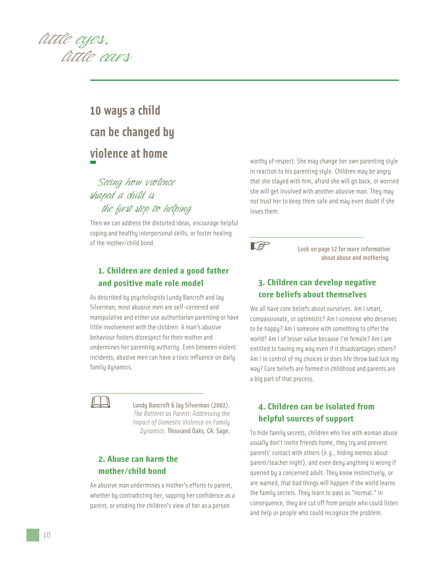

## **10 ways a child can be changed by violence at home**

## *Seeing how violence shaped a child is the first step to helping*

Then we can address the distorted ideas, encourage helpful coping and healthy interpersonal skills, or foster healing of the mother/child bond.

## **1. Children are denied a good father and positive male role model**

As described by psychologists Lundy Bancroft and Jay Silverman, most abusive men are self-centered and manipulative and either use authoritarian parenting or have little involvement with the children. A man's abusive behaviour fosters disrespect for their mother and undermines her parenting authority. Even between violent incidents, abusive men can have a toxic influence on daily family dynamics.



Lundy Bancroft & Jay Silverman (2002). *The Batterer as Parent: Addressing the Impact of Domestic Violence on Family Dynamics.* Thousand Oaks, CA: Sage.

## **2. Abuse can harm the mother/child bond**

An abusive man undermines a mother's efforts to parent, whether by contradicting her, sapping her confidence as a parent, or eroding the children's view of her as a person

worthy of respect. She may change her own parenting style in reaction to his parenting style. Children may be angry that she stayed with him, afraid she will go back, or worried she will get involved with another abusive man. They may not trust her to keep them safe and may even doubt if she loves them.



Look on page 12 for more information about abuse and mothering.

## **3. Children can develop negative core beliefs about themselves**

We all have core beliefs about ourselves. Am I smart, compassionate, or optimistic? Am I someone who deserves to be happy? Am I someone with something to offer the world? Am I of lesser value because I'm female? Am I am entitled to having my way even if it disadvantages others? Am I in control of my choices or does life throw bad luck my way? Core beliefs are formed in childhood and parents are a big part of that process.

## **4. Children can be isolated from helpful sources of support**

To hide family secrets, children who live with woman abuse usually don't invite friends home, they try and prevent parents' contact with others (e.g., hiding memos about parent/teacher night), and even deny anything is wrong if queried by a concerned adult. They know instinctively, or are warned, that bad things will happen if the world learns the family secrets. They learn to pass as "normal." In consequence, they are cut off from people who could listen and help or people who could recognize the problem.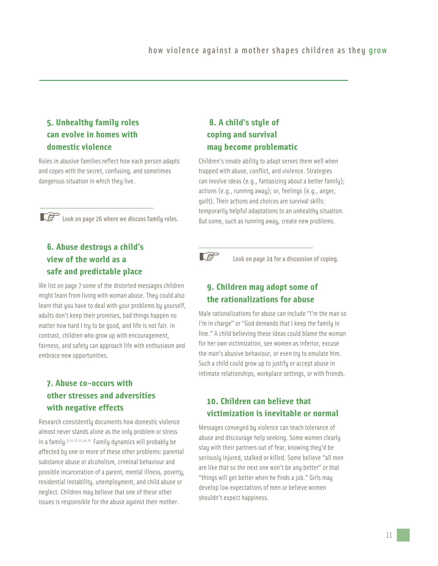## **5. Unhealthy family roles can evolve in homes with domestic violence**

Roles in abusive families reflect how each person adapts and copes with the secret, confusing, and sometimes dangerous situation in which they live.

**Look on page 26 where we discuss family roles.** 

## **6. Abuse destroys a child's view of the world as a safe and predictable place**

We list on page 7 some of the distorted messages children might learn from living with woman abuse. They could also learn that you have to deal with your problems by yourself, adults don't keep their promises, bad things happen no matter how hard I try to be good, and life is not fair. In contrast, children who grow up with encouragement, fairness, and safety can approach life with enthusiasm and embrace new opportunities.

## **7. Abuse co-occurs with other stresses and adversities with negative effects**

Research consistently documents how domestic violence almost never stands alone as the only problem or stress in a family.<sup>9, 11, 12, 13, 14, 15</sup> Family dynamics will probably be affected by one or more of these other problems: parental substance abuse or alcoholism, criminal behaviour and possible incarceration of a parent, mental illness, poverty, residential instability, unemployment, and child abuse or neglect. Children may believe that one of these other issues is responsible for the abuse against their mother.

## **8. A child's style of coping and survival may become problematic**

Children's innate ability to adapt serves them well when trapped with abuse, conflict, and violence. Strategies can involve ideas (e.g., fantasizing about a better family); actions (e.g., running away); or, feelings (e.g., anger, guilt). Their actions and choices are survival skills: temporarily helpful adaptations to an unhealthy situation. But some, such as running away, create new problems.



Look on page 24 for a discussion of coping.

## **9. Children may adopt some of the rationalizations for abuse**

Male rationalizations for abuse can include "I'm the man so I'm in charge" or "God demands that I keep the family in line." A child believing these ideas could blame the woman for her own victimization, see women as inferior, excuse the man's abusive behaviour, or even try to emulate him. Such a child could grow up to justify or accept abuse in intimate relationships, workplace settings, or with friends.

## **10. Children can believe that victimization is inevitable or normal**

Messages conveyed by violence can teach tolerance of abuse and discourage help seeking. Some women clearly stay with their partners out of fear, knowing they'd be seriously injured, stalked or killed. Some believe "all men are like that so the next one won't be any better" or that "things will get better when he finds a job." Girls may develop low expectations of men or believe women shouldn't expect happiness.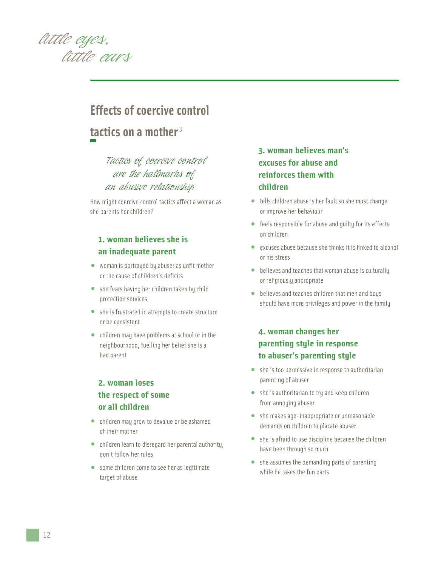

## **Effects of coercive control tactics on a mother** <sup>3</sup>

## *Tactics of coercive control are the hallmarks of an abusive relationship*

How might coercive control tactics affect a woman as she parents her children?

## **1. woman believes she is an inadequate parent**

- woman is portrayed by abuser as unfit mother or the cause of children's deficits
- she fears having her children taken by child protection services
- she is frustrated in attempts to create structure or be consistent
- children may have problems at school or in the neighbourhood, fuelling her belief she is a bad parent

## **2. woman loses the respect of some or all children**

- children may grow to devalue or be ashamed of their mother
- children learn to disregard her parental authority, don't follow her rules
- some children come to see her as legitimate target of abuse

## **3. woman believes man's excuses for abuse and reinforces them with children**

- tells children abuse is her fault so she must change or improve her behaviour
- feels responsible for abuse and guilty for its effects on children
- excuses abuse because she thinks it is linked to alcohol or his stress
- believes and teaches that woman abuse is culturally or religiously appropriate
- believes and teaches children that men and boys should have more privileges and power in the family

## **4. woman changes her parenting style in response to abuser's parenting style**

- she is too permissive in response to authoritarian parenting of abuser
- she is authoritarian to try and keep children from annoying abuser
- she makes age-inappropriate or unreasonable demands on children to placate abuser
- she is afraid to use discipline because the children have been through so much
- she assumes the demanding parts of parenting while he takes the fun parts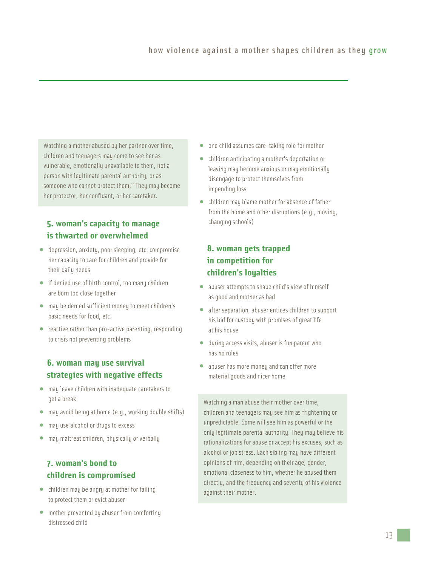Watching a mother abused by her partner over time, children and teenagers may come to see her as vulnerable, emotionally unavailable to them, not a person with legitimate parental authority, or as someone who cannot protect them.<sup>16</sup> They may become her protector, her confidant, or her caretaker.

## **5. woman's capacity to manage is thwarted or overwhelmed**

- depression, anxiety, poor sleeping, etc. compromise her capacity to care for children and provide for their daily needs
- if denied use of birth control, too many children are born too close together
- may be denied sufficient money to meet children's basic needs for food, etc.
- reactive rather than pro-active parenting, responding to crisis not preventing problems

## **6. woman may use survival strategies with negative effects**

- may leave children with inadequate caretakers to get a break
- may avoid being at home (e.g., working double shifts)
- may use alcohol or drugs to excess
- may maltreat children, physically or verbally

## **7. woman's bond to children is compromised**

- children may be angry at mother for failing to protect them or evict abuser
- mother prevented by abuser from comforting distressed child
- one child assumes care-taking role for mother
- children anticipating a mother's deportation or leaving may become anxious or may emotionally disengage to protect themselves from impending loss
- children may blame mother for absence of father from the home and other disruptions (e.g., moving, changing schools)

## **8. woman gets trapped in competition for children's loyalties**

- abuser attempts to shape child's view of himself as good and mother as bad
- after separation, abuser entices children to support his bid for custody with promises of great life at his house
- during access visits, abuser is fun parent who has no rules
- abuser has more money and can offer more material goods and nicer home

Watching a man abuse their mother over time, children and teenagers may see him as frightening or unpredictable. Some will see him as powerful or the only legitimate parental authority. They may believe his rationalizations for abuse or accept his excuses, such as alcohol or job stress. Each sibling may have different opinions of him, depending on their age, gender, emotional closeness to him, whether he abused them directly, and the frequency and severity of his violence against their mother.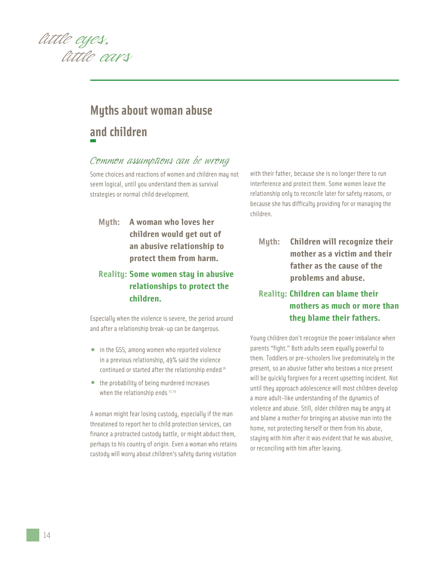

## **Myths about woman abuse and children**

## *Common assumptions can be wrong*

Some choices and reactions of women and children may not seem logical, until you understand them as survival strategies or normal child development.

**Myth: A woman who loves her children would get out of an abusive relationship to protect them from harm.**

## **Reality: Some women stay in abusive relationships to protect the children.**

Especially when the violence is severe, the period around and after a relationship break-up can be dangerous.

- in the GSS, among women who reported violence in a previous relationship, 49% said the violence continued or started after the relationship ended<sup>26</sup>
- the probability of being murdered increases when the relationship ends<sup>17, 25</sup>

A woman might fear losing custody, especially if the man threatened to report her to child protection services, can finance a protracted custody battle, or might abduct them, perhaps to his country of origin. Even a woman who retains custody will worry about children's safety during visitation

with their father, because she is no longer there to run interference and protect them. Some women leave the relationship only to reconcile later for safety reasons, or because she has difficulty providing for or managing the children.

**Myth: Children will recognize their mother as a victim and their father as the cause of the problems and abuse.**

## **Reality: Children can blame their mothers as much or more than they blame their fathers.**

Young children don't recognize the power imbalance when parents "fight." Both adults seem equally powerful to them. Toddlers or pre-schoolers live predominately in the present, so an abusive father who bestows a nice present will be quickly forgiven for a recent upsetting incident. Not until they approach adolescence will most children develop a more adult-like understanding of the dynamics of violence and abuse. Still, older children may be angry at and blame a mother for bringing an abusive man into the home, not protecting herself or them from his abuse, staying with him after it was evident that he was abusive, or reconciling with him after leaving.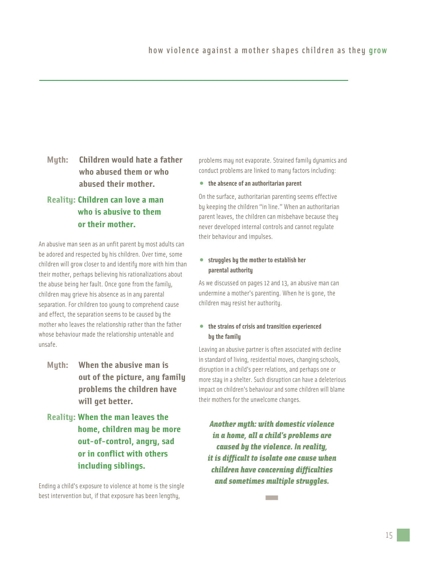## **Myth: Children would hate a father who abused them or who abused their mother.**

## **Reality: Children can love a man who is abusive to them or their mother.**

An abusive man seen as an unfit parent by most adults can be adored and respected by his children. Over time, some children will grow closer to and identify more with him than their mother, perhaps believing his rationalizations about the abuse being her fault. Once gone from the family, children may grieve his absence as in any parental separation. For children too young to comprehend cause and effect, the separation seems to be caused by the mother who leaves the relationship rather than the father whose behaviour made the relationship untenable and unsafe.

- **Myth: When the abusive man is out of the picture, any family problems the children have will get better.**
- **Reality: When the man leaves the home, children may be more out-of-control, angry, sad or in conflict with others including siblings.**

Ending a child's exposure to violence at home is the single best intervention but, if that exposure has been lengthy,

problems may not evaporate. Strained family dynamics and conduct problems are linked to many factors including:

• **the absence of an authoritarian parent**

On the surface, authoritarian parenting seems effective by keeping the children "in line." When an authoritarian parent leaves, the children can misbehave because they never developed internal controls and cannot regulate their behaviour and impulses.

#### • **struggles by the mother to establish her parental authority**

As we discussed on pages 12 and 13, an abusive man can undermine a mother's parenting. When he is gone, the children may resist her authority.

#### • **the strains of crisis and transition experienced by the family**

Leaving an abusive partner is often associated with decline in standard of living, residential moves, changing schools, disruption in a child's peer relations, and perhaps one or more stay in a shelter. Such disruption can have a deleterious impact on children's behaviour and some children will blame their mothers for the unwelcome changes.

*Another myth: with domestic violence in a home, all a child's problems are caused by the violence. In reality, it is difficult to isolate one cause when children have concerning difficulties and sometimes multiple struggles.* **-**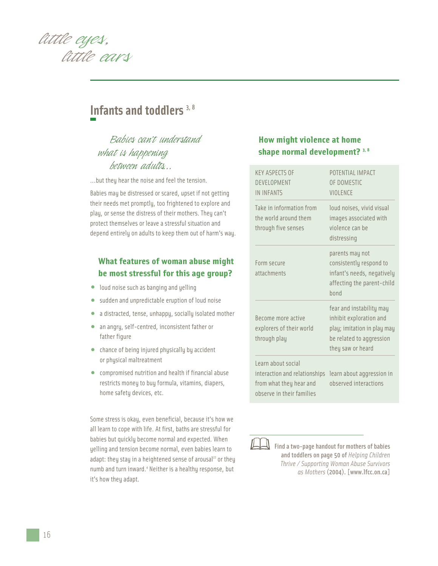

## **Infants and toddlers** 3, 8

## *Babies can't understand what is happening between adults...*

...but they hear the noise and feel the tension.

Babies may be distressed or scared, upset if not getting their needs met promptly, too frightened to explore and play, or sense the distress of their mothers. They can't protect themselves or leave a stressful situation and depend entirely on adults to keep them out of harm's way.

## **What features of woman abuse might be most stressful for this age group?**

- loud noise such as banging and yelling
- sudden and unpredictable eruption of loud noise
- a distracted, tense, unhappy, socially isolated mother
- an angry, self-centred, inconsistent father or father figure
- chance of being injured physically by accident or physical maltreatment
- compromised nutrition and health if financial abuse restricts money to buy formula, vitamins, diapers, home safety devices, etc.

Some stress is okay, even beneficial, because it's how we all learn to cope with life. At first, baths are stressful for babies but quickly become normal and expected. When yelling and tension become normal, even babies learn to adapt: they stay in a heightened sense of arousal<sup>22</sup> or they numb and turn inward.<sup>4</sup> Neither is a healthy response, but it's how they adapt.

### **How might violence at home shape normal development? 3, 8**

| <b>KFY ASPECTS OF</b><br>DFVFI OPMENT<br><b>IN INFANTS</b>                                                  | POTENTIAL IMPACT<br>OF DOMESTIC<br><b>VIOLENCE</b>                                                                                  |
|-------------------------------------------------------------------------------------------------------------|-------------------------------------------------------------------------------------------------------------------------------------|
| Take in information from<br>the world around them<br>through five senses                                    | loud noises, vivid visual<br>images associated with<br>violence can be<br>distressing                                               |
| Form secure<br>attachments                                                                                  | parents may not<br>consistently respond to<br>infant's needs, negatively<br>affecting the parent-child<br>hond                      |
| Become more active<br>explorers of their world<br>through play                                              | fear and instability may<br>inhibit exploration and<br>play; imitation in play may<br>be related to aggression<br>they saw or heard |
| Learn about social<br>interaction and relationships<br>from what they hear and<br>observe in their families | learn about aggression in<br>observed interactions                                                                                  |



**Find a two-page handout for mothers of babies** and toddlers on page 50 of *Helping Children Thrive / Supporting Woman Abuse Survivors as Mothers* (2004). [www.lfcc.on.ca]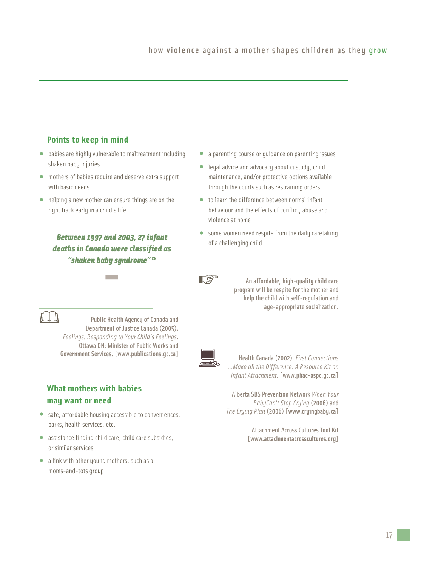### **Points to keep in mind**

- babies are highly vulnerable to maltreatment including shaken baby injuries
- mothers of babies require and deserve extra support with basic needs
- helping a new mother can ensure things are on the right track early in a child's life

*Between 1997 and 2003, 27 infant deaths in Canada were classified as "shaken baby syndrome" 26* **-**

- a parenting course or guidance on parenting issues
- legal advice and advocacy about custody, child maintenance, and/or protective options available through the courts such as restraining orders
- to learn the difference between normal infant behaviour and the effects of conflict, abuse and violence at home
- some women need respite from the daily caretaking of a challenging child



An affordable, high-quality child care program will be respite for the mother and help the child with self-regulation and age-appropriate socialization.



Public Health Agency of Canada and Department of Justice Canada (2005). *Feelings: Responding to Your Child's Feelings*. Ottawa ON: Minister of Public Works and Government Services. [www.publications.gc.ca]

## **What mothers with babies may want or need**

- safe, affordable housing accessible to conveniences, parks, health services, etc.
- assistance finding child care, child care subsidies, or similar services
- a link with other young mothers, such as a moms-and-tots group

Health Canada (2002). *First Connections ...Make all the Difference: A Resource Kit on Infant Attachment*. [www.phac-aspc.gc.ca]

Alberta SBS Prevention Network *When Your BabyCan't Stop Crying* (2006) and *The Crying Plan* (2006) [**www.cryingbaby.ca]**

> Attachment Across Cultures Tool Kit [**www.attachmentacrosscultures.org]**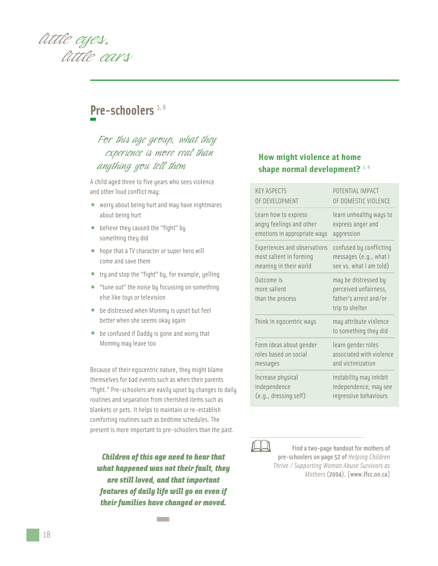

## **Pre-schoolers** 3, 8

## *For this age group, what they experience is more real than anything you tell them*

A child aged three to five years who sees violence and other loud conflict may:

- worry about being hurt and may have nightmares about being hurt
- believe they caused the "fight" by something they did
- hope that a TV character or super hero will come and save them
- try and stop the "fight" by, for example, yelling
- "tune out" the noise by focussing on something else like toys or television
- be distressed when Mommy is upset but feel better when she seems okay again
- be confused if Daddy is gone and worry that Mommy may leave too

Because of their egocentric nature, they might blame themselves for bad events such as when their parents "fight." Pre-schoolers are easily upset by changes to daily routines and separation from cherished items such as blankets or pets. It helps to maintain or re-establish comforting routines such as bedtime schedules. The present is more important to pre-schoolers than the past.

*Children of this age need to hear that what happened was not their fault, they are still loved, and that important features of daily life will go on even if their families have changed or moved.* **-**

#### **How might violence at home shape normal development?** 3, 8

| <b>KFY ASPECTS</b>                             | POTENTIAL IMPACT                                                                           |
|------------------------------------------------|--------------------------------------------------------------------------------------------|
| OF DEVELOPMENT                                 | OF DOMESTIC VIOLENCE                                                                       |
| Learn how to express                           | learn unhealthy ways to                                                                    |
| angry feelings and other                       | express anger and                                                                          |
| emotions in appropriate ways                   | aggression                                                                                 |
| Experiences and observations                   | confused by conflicting                                                                    |
| most salient in forming                        | messages (e.g., what I                                                                     |
| meaning in their world                         | see vs. what I am told)                                                                    |
| Outcome is<br>more salient<br>than the process | may be distressed by<br>perceived unfairness,<br>father's arrest and/or<br>trip to shelter |
| Think in egocentric ways                       | may attribute violence<br>to something they did                                            |
| Form ideas about gender                        | learn gender roles                                                                         |
| roles based on social                          | associated with violence                                                                   |
| messages                                       | and victimization                                                                          |
| Increase physical                              | instability may inhibit                                                                    |
| independence                                   | independence; may see                                                                      |
| (e.g., dressing self)                          | regressive behaviours                                                                      |



Find a two-page handout for mothers of pre-schoolers on page 52 of *Helping Children Thrive / Supporting Woman Abuse Survivors as Mothers* (2004). [www.lfcc.on.ca]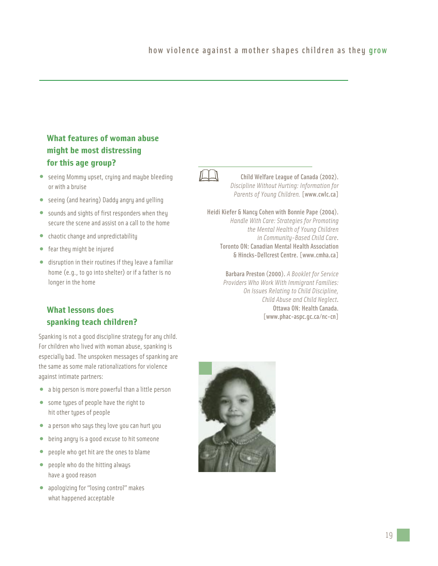## **What features of woman abuse might be most distressing for this age group?**

- seeing Mommy upset, crying and maybe bleeding or with a bruise
- seeing (and hearing) Daddy angry and yelling
- sounds and sights of first responders when they secure the scene and assist on a call to the home
- chaotic change and unpredictability
- fear they might be injured
- disruption in their routines if they leave a familiar home (e.g., to go into shelter) or if a father is no longer in the home

## **What lessons does spanking teach children?**

Spanking is not a good discipline strategy for any child. For children who lived with woman abuse, spanking is especially bad. The unspoken messages of spanking are the same as some male rationalizations for violence against intimate partners:

- a big person is more powerful than a little person
- some types of people have the right to hit other types of people
- a person who says they love you can hurt you
- being angry is a good excuse to hit someone
- people who get hit are the ones to blame
- people who do the hitting always have a good reason
- apologizing for "losing control" makes what happened acceptable



Child Welfare League of Canada (2002). *Discipline Without Hurting: Information for Parents of Young Children.* [www.cwlc.ca]

Heidi Kiefer & Nancy Cohen with Bonnie Pape (2004). *Handle With Care: Strategies for Promoting the Mental Health of Young Children in Community-Based Child Care*. Toronto ON: Canadian Mental Health Association & Hincks-Dellcrest Centre. [www.cmha.ca]

> Barbara Preston (2000). *A Booklet for Service Providers Who Work With Immigrant Families: On Issues Relating to Child Discipline, Child Abuse and Child Neglect*. Ottawa ON: Health Canada. [www.phac-aspc.gc.ca/nc-cn]

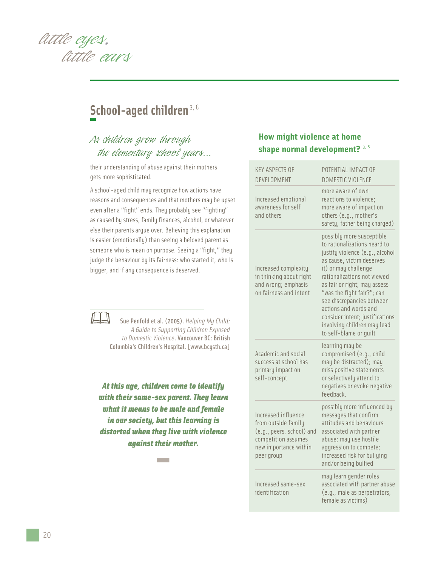

## School-aged children<sup>3, 8</sup>

## *As children grow through the elementary school years...*

their understanding of abuse against their mothers gets more sophisticated.

A school-aged child may recognize how actions have reasons and consequences and that mothers may be upset even after a "fight" ends. They probably see "fighting" as caused by stress, family finances, alcohol, or whatever else their parents argue over. Believing this explanation is easier (emotionally) than seeing a beloved parent as someone who is mean on purpose. Seeing a "fight," they judge the behaviour by its fairness: who started it, who is bigger, and if any consequence is deserved.



Sue Penfold et al. (2005). *Helping My Child: A Guide to Supporting Children Exposed to Domestic Violence*. Vancouver BC: British Columbia's Children's Hospital. [www.bcysth.ca]

*At this age, children come to identify with their same-sex parent. They learn what it means to be male and female in our society, but this learning is distorted when they live with violence against their mother.*  **-**

## **How might violence at home shape normal development?** 3, 8

| <b>KEY ASPECTS OF</b><br>DEVELOPMENT                                                                                                  | POTENTIAL IMPACT OF<br><b>DOMESTIC VIOLENCE</b>                                                                                                                                                                                                                                                                                                                                                  |
|---------------------------------------------------------------------------------------------------------------------------------------|--------------------------------------------------------------------------------------------------------------------------------------------------------------------------------------------------------------------------------------------------------------------------------------------------------------------------------------------------------------------------------------------------|
| Increased emotional<br>awareness for self<br>and others                                                                               | more aware of own<br>reactions to violence;<br>more aware of impact on<br>others (e.g., mother's<br>safety, father being charged)                                                                                                                                                                                                                                                                |
| Increased complexity<br>in thinking about right<br>and wrong; emphasis<br>on fairness and intent                                      | possibly more susceptible<br>to rationalizations heard to<br>justify violence (e.g., alcohol<br>as cause, victim deserves<br>it) or may challenge<br>rationalizations not viewed<br>as fair or right; may assess<br>"was the fight fair?"; can<br>see discrepancies between<br>actions and words and<br>consider intent; justifications<br>involving children may lead<br>to self-blame or quilt |
| Academic and social<br>success at school has<br>primary impact on<br>self-concept                                                     | learning may be<br>compromised (e.g., child<br>may be distracted); may<br>miss positive statements<br>or selectively attend to<br>negatives or evoke negative<br>feedback.                                                                                                                                                                                                                       |
| Increased influence<br>from outside family<br>(e.g., peers, school) and<br>competition assumes<br>new importance within<br>peer group | possibly more influenced by<br>messages that confirm<br>attitudes and behaviours<br>associated with partner<br>abuse; may use hostile<br>aggression to compete;<br>increased risk for bullying<br>and/or being bullied                                                                                                                                                                           |
| Increased same-sex<br>identification                                                                                                  | may learn gender roles<br>associated with partner abuse<br>(e.g., male as perpetrators,<br>female as victims)                                                                                                                                                                                                                                                                                    |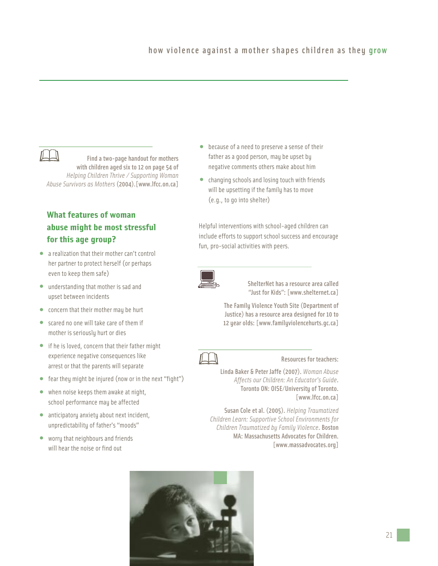

Find a two-page handout for mothers with children aged six to 12 on page 54 of *Helping Children Thrive / Supporting Woman Abuse Survivors as Mothers* (2004).[www.lfcc.on.ca]

## **What features of woman abuse might be most stressful for this age group?**

- a realization that their mother can't control her partner to protect herself (or perhaps even to keep them safe)
- understanding that mother is sad and upset between incidents
- concern that their mother may be hurt
- scared no one will take care of them if mother is seriously hurt or dies
- if he is loved, concern that their father might experience negative consequences like arrest or that the parents will separate
- fear they might be injured (now or in the next "fight")
- when noise keeps them awake at night, school performance may be affected
- anticipatory anxiety about next incident, unpredictability of father's "moods"
- worry that neighbours and friends will hear the noise or find out
- because of a need to preserve a sense of their father as a good person, may be upset by negative comments others make about him
- changing schools and losing touch with friends will be upsetting if the family has to move (e.g., to go into shelter)

Helpful interventions with school-aged children can include efforts to support school success and encourage fun, pro-social activities with peers.



ShelterNet has a resource area called "Just for Kids": [www.shelternet.ca]

The Family Violence Youth Site (Department of Justice) has a resource area designed for 10 to 12 year olds: [www.familyviolencehurts.gc.ca]



#### Resources for teachers:

Linda Baker & Peter Jaffe (2007). *Woman Abuse Affects our Children: An Educator's Guide*. Toronto ON: OISE/University of Toronto. [www.lfcc.on.ca]

Susan Cole et al. (2005). *Helping Traumatized Children Learn: Supportive School Environments for Children Traumatized by Family Violence*. Boston MA: Massachusetts Advocates for Children. [www.massadvocates.org]

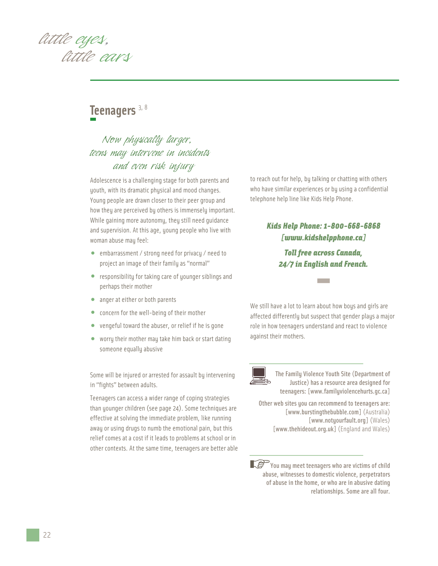*little eyes, little ears*

## **Teenagers** 3, 8

## *Now physically larger, teens may intervene in incidents and even risk injury*

Adolescence is a challenging stage for both parents and youth, with its dramatic physical and mood changes. Young people are drawn closer to their peer group and how they are perceived by others is immensely important. While gaining more autonomy, they still need guidance and supervision. At this age, young people who live with woman abuse may feel:

- embarrassment / strong need for privacy / need to project an image of their family as "normal"
- responsibility for taking care of younger siblings and perhaps their mother
- anger at either or both parents
- concern for the well-being of their mother
- vengeful toward the abuser, or relief if he is gone
- worry their mother may take him back or start dating someone equally abusive

Some will be injured or arrested for assault by intervening in "fights" between adults.

Teenagers can access a wider range of coping strategies than younger children (see page 24). Some techniques are effective at solving the immediate problem, like running away or using drugs to numb the emotional pain, but this relief comes at a cost if it leads to problems at school or in other contexts. At the same time, teenagers are better able

to reach out for help, by talking or chatting with others who have similar experiences or by using a confidential telephone help line like Kids Help Phone.

## *Kids Help Phone: 1-800-668-6868 [www.kidshelpphone.ca]*

*Toll free across Canada, 24/7 in English and French.* **-**

We still have a lot to learn about how boys and girls are affected differently but suspect that gender plays a major role in how teenagers understand and react to violence against their mothers.



The Family Violence Youth Site (Department of Justice) has a resource area designed for teenagers: [www.familyviolencehurts.gc.ca]

Other web sites you can recommend to teenagers are: [www.burstingthebubble.com] (Australia) [www.notyourfault.org] (Wales) [www.thehideout.org.uk] (England and Wales)

You may meet teenagers who are victims of child abuse, witnesses to domestic violence, perpetrators of abuse in the home, or who are in abusive dating relationships. Some are all four.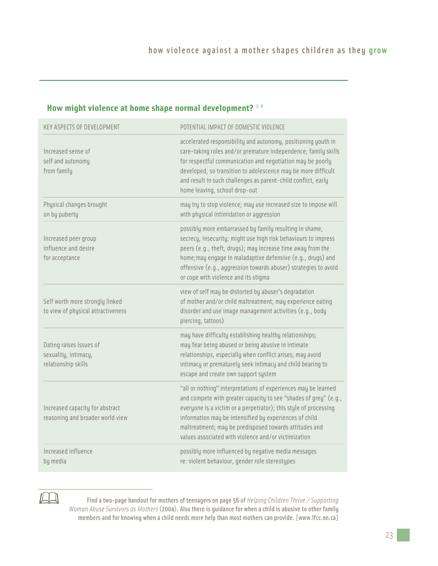## **How might violence at home shape normal development?** 3, 8

| <b>KEY ASPECTS OF DEVELOPMENT</b>                                      | POTENTIAL IMPACT OF DOMESTIC VIOLENCE                                                                                                                                                                                                                                                                                                                                              |  |
|------------------------------------------------------------------------|------------------------------------------------------------------------------------------------------------------------------------------------------------------------------------------------------------------------------------------------------------------------------------------------------------------------------------------------------------------------------------|--|
| Increased sense of<br>self and autonomy<br>from family                 | accelerated responsibility and autonomy, positioning youth in<br>care-taking roles and/or premature independence; family skills<br>for respectful communication and negotiation may be poorly<br>developed, so transition to adolescence may be more difficult<br>and result in such challenges as parent-child conflict, early<br>home leaving, school drop-out                   |  |
| Physical changes brought<br>on by puberty                              | may try to stop violence; may use increased size to impose will<br>with physical intimidation or aggression                                                                                                                                                                                                                                                                        |  |
| Increased peer group<br>influence and desire<br>for acceptance         | possibly more embarrassed by family resulting in shame,<br>secrecy, insecurity; might use high risk behaviours to impress<br>peers (e.g., theft, drugs); may increase time away from the<br>home; may engage in maladaptive defensive (e.g., drugs) and<br>offensive (e.g., aggression towards abuser) strategies to avoid<br>or cope with violence and its stigma                 |  |
| Self worth more strongly linked<br>to view of physical attractiveness  | view of self may be distorted by abuser's degradation<br>of mother and/or child maltreatment; may experience eating<br>disorder and use image management activities (e.g., body<br>piercing, tattoos)                                                                                                                                                                              |  |
| Dating raises issues of<br>sexuality, intimacy,<br>relationship skills | may have difficulty establishing healthy relationships;<br>may fear being abused or being abusive in intimate<br>relationships, especially when conflict arises; may avoid<br>intimacy or prematurely seek intimacy and child bearing to<br>escape and create own support system                                                                                                   |  |
| Increased capacity for abstract<br>reasoning and broader world view    | "all or nothing" interpretations of experiences may be learned<br>and compete with greater capacity to see "shades of grey" (e.g.,<br>everyone is a victim or a perpetrator); this style of processing<br>information may be intensified by experiences of child<br>maltreatment; may be predisposed towards attitudes and<br>values associated with violence and/or victimization |  |
| Increased influence<br>by media                                        | possibly more influenced by negative media messages<br>re: violent behaviour, gender role stereotypes                                                                                                                                                                                                                                                                              |  |



Find a two-page handout for mothers of teenagers on page 56 of *Helping Children Thrive / Supporting Woman Abuse Survivors as Mothers* (2004). Also there is guidance for when a child is abusive to other family members and for knowing when a child needs more help than most mothers can provide. [www.lfcc.on.ca]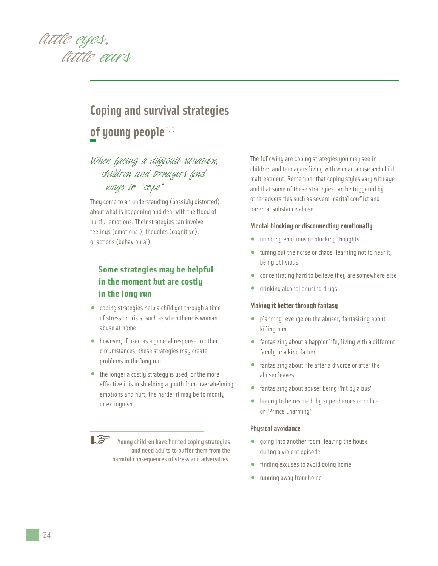

## **Coping and survival strategies** of young people<sup>2, 3</sup>

## *When facing a difficult situation, children and teenagers find ways to "cope"*

They come to an understanding (possibly distorted) about what is happening and deal with the flood of hurtful emotions. Their strategies can involve feelings (emotional), thoughts (cognitive), or actions (behavioural).

## **Some strategies may be helpful in the moment but are costly in the long run**

- coping strategies help a child get through a time of stress or crisis, such as when there is woman abuse at home
- however, if used as a general response to other circumstances, these strategies may create problems in the long run
- the longer a costly strategy is used, or the more effective it is in shielding a youth from overwhelming emotions and hurt, the harder it may be to modify or extinguish

Young children have limited coping strategies and need adults to buffer them from the harmful consequences of stress and adversities.

The following are coping strategies you may see in children and teenagers living with woman abuse and child maltreatment. Remember that coping styles vary with age and that some of these strategies can be triggered by other adversities such as severe marital conflict and parental substance abuse.

#### **Mental blocking or disconnecting emotionally**

- numbing emotions or blocking thoughts
- tuning out the noise or chaos, learning not to hear it, being oblivious
- concentrating hard to believe they are somewhere else
- drinking alcohol or using drugs

#### **Making it better through fantasy**

- planning revenge on the abuser, fantasizing about killing him
- fantasizing about a happier life, living with a different family or a kind father
- fantasizing about life after a divorce or after the abuser leaves
- fantasizing about abuser being "hit by a bus"
- hoping to be rescued, by super heroes or police or "Prince Charming"

#### **Physical avoidance**

- going into another room, leaving the house during a violent episode
- finding excuses to avoid going home
- running away from home

 $\mathbb{R}^3$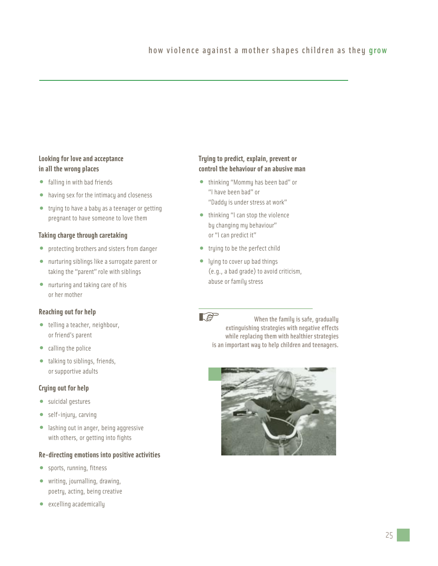#### **Looking for love and acceptance in all the wrong places**

- falling in with bad friends
- having sex for the intimacy and closeness
- trying to have a baby as a teenager or getting pregnant to have someone to love them

#### **Taking charge through caretaking**

- protecting brothers and sisters from danger
- nurturing siblings like a surrogate parent or taking the "parent" role with siblings
- nurturing and taking care of his or her mother

#### **Reaching out for help**

- telling a teacher, neighbour, or friend's parent
- calling the police
- talking to siblings, friends, or supportive adults

#### **Crying out for help**

- suicidal gestures
- self-injury, carving
- lashing out in anger, being aggressive with others, or getting into fights

#### **Re-directing emotions into positive activities**

- sports, running, fitness
- writing, journalling, drawing, poetry, acting, being creative
- excelling academically

#### **Trying to predict, explain, prevent or control the behaviour of an abusive man**

- thinking "Mommy has been bad" or "I have been bad" or "Daddy is under stress at work"
- thinking "I can stop the violence by changing my behaviour" or "I can predict it"
- trying to be the perfect child
- lying to cover up bad things (e.g., a bad grade) to avoid criticism, abuse or family stress



When the family is safe, gradually extinguishing strategies with negative effects while replacing them with healthier strategies is an important way to help children and teenagers.

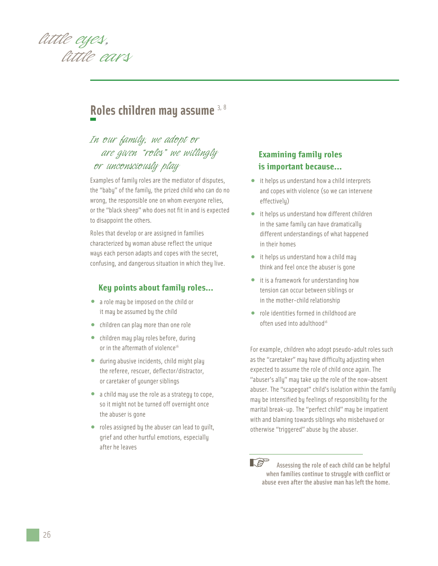

## **Roles children may assume** 3, 8

## *In our family, we adopt or are given "roles" we willingly or unconsciously play*

Examples of family roles are the mediator of disputes, the "baby" of the family, the prized child who can do no wrong, the responsible one on whom everyone relies, or the "black sheep" who does not fit in and is expected to disappoint the others.

Roles that develop or are assigned in families characterized by woman abuse reflect the unique ways each person adapts and copes with the secret, confusing, and dangerous situation in which they live.

#### **Key points about family roles...**

- a role may be imposed on the child or it may be assumed by the child
- children can play more than one role
- children may play roles before, during or in the aftermath of violence<sup>16</sup>
- during abusive incidents, child might play the referee, rescuer, deflector/distractor, or caretaker of younger siblings
- a child may use the role as a strategy to cope, so it might not be turned off overnight once the abuser is gone
- roles assigned by the abuser can lead to guilt, grief and other hurtful emotions, especially after he leaves

## **Examining family roles is important because...**

- it helps us understand how a child interprets and copes with violence (so we can intervene effectively)
- it helps us understand how different children in the same family can have dramatically different understandings of what happened in their homes
- it helps us understand how a child may think and feel once the abuser is gone
- it is a framework for understanding how tension can occur between siblings or in the mother-child relationship
- role identities formed in childhood are often used into adulthood<sup>16</sup>

For example, children who adopt pseudo-adult roles such as the "caretaker" may have difficulty adjusting when expected to assume the role of child once again. The "abuser's ally" may take up the role of the now-absent abuser. The "scapegoat" child's isolation within the family may be intensified by feelings of responsibility for the marital break-up. The "perfect child" may be impatient with and blaming towards siblings who misbehaved or otherwise "triggered" abuse by the abuser.

 $\mathbb{R}^{\text{sp}}$ Assessing the role of each child can be helpful when families continue to struggle with conflict or abuse even after the abusive man has left the home.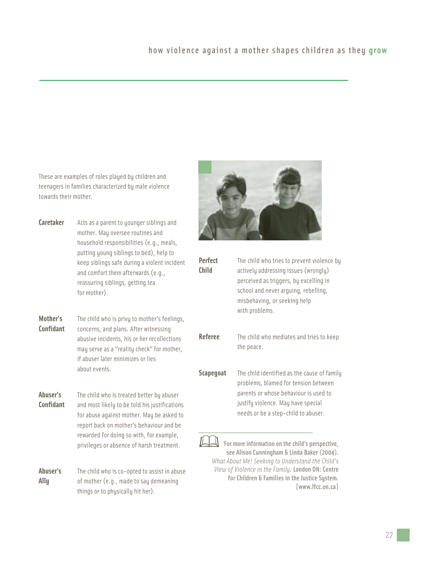These are examples of roles played by children and teenagers in families characterized by male violence towards their mother.

- **Caretaker** Acts as a parent to younger siblings and mother. May oversee routines and household responsibilities (e.g., meals, putting young siblings to bed), help to keep siblings safe during a violent incident and comfort them afterwards (e.g., reassuring siblings, getting tea for mother).
- **Mother's** The child who is privy to mother's feelings, **Confidant** concerns, and plans. After witnessing abusive incidents, his or her recollections may serve as a "reality check" for mother, if abuser later minimizes or lies about events.
- **Abuser's** The child who is treated better by abuser **Confidant** and most likely to be told his justifications for abuse against mother. May be asked to report back on mother's behaviour and be rewarded for doing so with, for example, privileges or absence of harsh treatment.
- **Abuser's** The child who is co-opted to assist in abuse **Ally** of mother (e.g., made to say demeaning things or to physically hit her).



| <b>Perfect</b><br>Child | The child who tries to prevent violence by<br>actively addressing issues (wrongly)<br>perceived as triggers, by excelling in<br>school and never arguing, rebelling,<br>misbehaving, or seeking help<br>with problems. |
|-------------------------|------------------------------------------------------------------------------------------------------------------------------------------------------------------------------------------------------------------------|
| <b>Referee</b>          | The child who mediates and tries to keep<br>the peace.                                                                                                                                                                 |
| <b>Scapegoat</b>        | The child identified as the cause of family<br>problems, blamed for tension between<br>parents or whose behaviour is used to<br>justify violence. May have special<br>needs or be a step-child to abuser.              |

For more information on the child's perspective, see Alison Cunningham & Linda Baker (2004). *What About Me! Seeking to Understand the Child's View of Violence in the Family*. London ON: Centre for Children & Families in the Justice System. [www.lfcc.on.ca]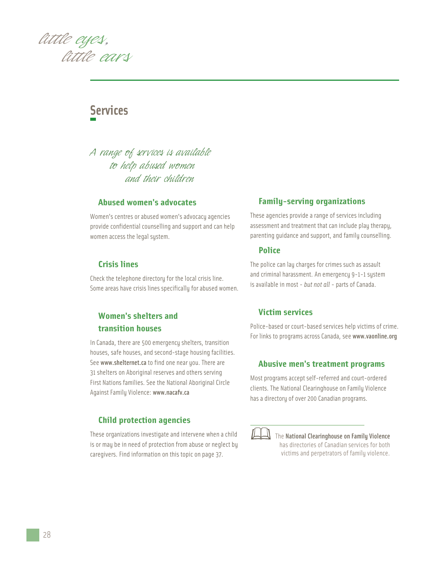*little eyes, little ears*

## **Services**

## *A range of services is available to help abused women and their children*

#### **Abused women's advocates**

Women's centres or abused women's advocacy agencies provide confidential counselling and support and can help women access the legal system.

#### **Crisis lines**

Check the telephone directory for the local crisis line. Some areas have crisis lines specifically for abused women.

### **Women's shelters and transition houses**

In Canada, there are 500 emergency shelters, transition houses, safe houses, and second-stage housing facilities. See www.shelternet.ca to find one near you. There are 31 shelters on Aboriginal reserves and others serving First Nations families. See the National Aboriginal Circle Against Family Violence: www.nacafv.ca

#### **Child protection agencies**

These organizations investigate and intervene when a child is or may be in need of protection from abuse or neglect by caregivers. Find information on this topic on page 37.

#### **Family-serving organizations**

These agencies provide a range of services including assessment and treatment that can include play therapy, parenting guidance and support, and family counselling.

#### **Police**

The police can lay charges for crimes such as assault and criminal harassment. An emergency 9-1-1 system is available in most - *but not all* - parts of Canada.

#### **Victim services**

Police-based or court-based services help victims of crime. For links to programs across Canada, see www.vaonline.org

#### **Abusive men's treatment programs**

Most programs accept self-referred and court-ordered clients. The National Clearinghouse on Family Violence has a directory of over 200 Canadian programs.



The National Clearinghouse on Family Violence has directories of Canadian services for both victims and perpetrators of family violence.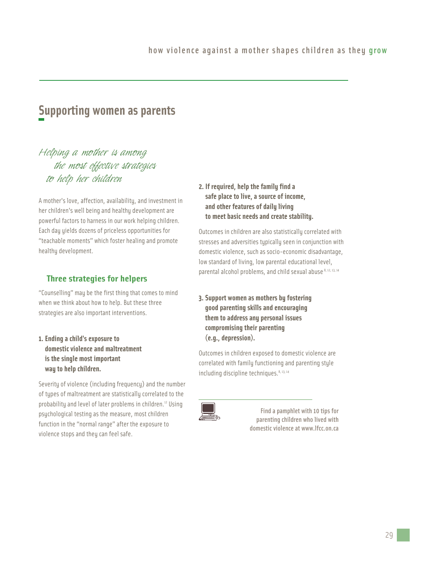## **Supporting women as parents**

## *Helping a mother is among the most effective strategies to help her children*

A mother's love, affection, availability, and investment in her children's well being and healthy development are powerful factors to harness in our work helping children. Each day yields dozens of priceless opportunities for "teachable moments" which foster healing and promote healthy development.

### **Three strategies for helpers**

"Counselling" may be the first thing that comes to mind when we think about how to help. But these three strategies are also important interventions.

**1. Ending a child's exposure to domestic violence and maltreatment is the single most important way to help children.**

Severity of violence (including frequency) and the number of types of maltreatment are statistically correlated to the probability and level of later problems in children.<sup>12</sup> Using psychological testing as the measure, most children function in the "normal range" after the exposure to violence stops and they can feel safe.

**2. If required, help the family find a safe place to live, a source of income, and other features of daily living to meet basic needs and create stability.**

Outcomes in children are also statistically correlated with stresses and adversities typically seen in conjunction with domestic violence, such as socio-economic disadvantage, low standard of living, low parental educational level, parental alcohol problems, and child sexual abuse.8, 12, 13, 14

**3. Support women as mothers by fostering good parenting skills and encouraging them to address any personal issues compromising their parenting (e.g., depression).**

Outcomes in children exposed to domestic violence are correlated with family functioning and parenting style including discipline techniques. 8, 13, 14



Find a pamphlet with 10 tips for parenting children who lived with domestic violence at www.lfcc.on.ca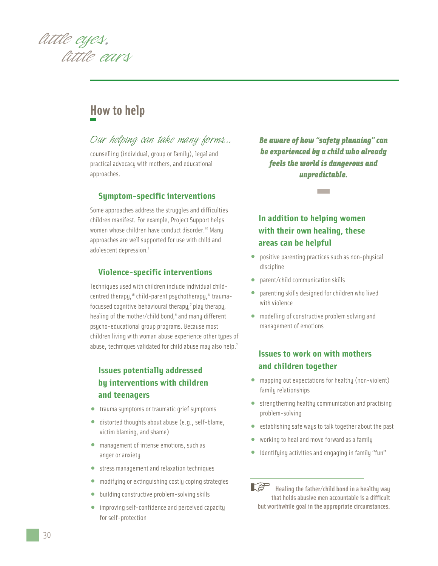*little eyes, little ears*

## **How to help**

## *Our helping can take many forms...*

counselling (individual, group or family), legal and practical advocacy with mothers, and educational approaches.

#### **Symptom-specific interventions**

Some approaches address the struggles and difficulties children manifest. For example, Project Support helps women whose children have conduct disorder.<sup>20</sup> Many approaches are well supported for use with child and adolescent depression.<sup>1</sup>

#### **Violence-specific interventions**

Techniques used with children include individual childcentred therapy, $18$  child-parent psychotherapy, $21$  traumafocussed cognitive behavioural therapy,<sup>7</sup> play therapy, healing of the mother/child bond,<sup>6</sup> and many different psycho-educational group programs. Because most children living with woman abuse experience other types of abuse, techniques validated for child abuse may also help.<sup>7</sup>

## **Issues potentially addressed by interventions with children and teenagers**

- trauma symptoms or traumatic grief symptoms
- distorted thoughts about abuse (e.g., self-blame, victim blaming, and shame)
- management of intense emotions, such as anger or anxiety
- stress management and relaxation techniques
- modifying or extinguishing costly coping strategies
- building constructive problem-solving skills
- improving self-confidence and perceived capacity for self-protection

*Be aware of how "safety planning" can be experienced by a child who already feels the world is dangerous and unpredictable.* **-**

## **In addition to helping women with their own healing, these areas can be helpful**

- positive parenting practices such as non-physical discipline
- parent/child communication skills
- parenting skills designed for children who lived with violence
- modelling of constructive problem solving and management of emotions

### **Issues to work on with mothers and children together**

- mapping out expectations for healthy (non-violent) family relationships
- strengthening healthy communication and practising problem-solving
- establishing safe ways to talk together about the past
- working to heal and move forward as a family
- identifying activities and engaging in family "fun"

 $\mathbb{R}^3$ Healing the father/child bond in a healthu way that holds abusive men accountable is a difficult but worthwhile goal in the appropriate circumstances.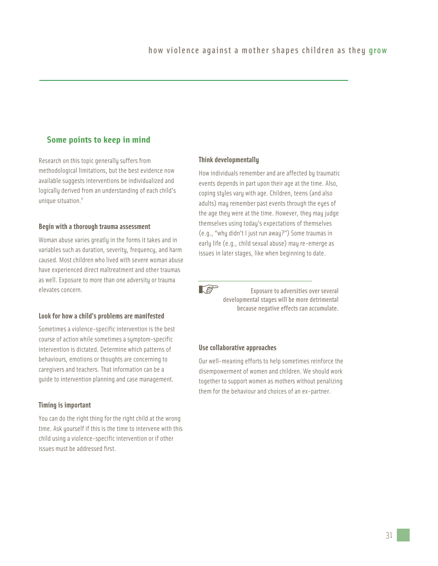#### **Some points to keep in mind**

Research on this topic generally suffers from methodological limitations, but the best evidence now available suggests interventions be individualized and logically derived from an understanding of each child's unique situation.<sup>8</sup>

#### **Begin with a thorough trauma assessment**

Woman abuse varies greatly in the forms it takes and in variables such as duration, severity, frequency, and harm caused. Most children who lived with severe woman abuse have experienced direct maltreatment and other traumas as well. Exposure to more than one adversity or trauma elevates concern.

#### **Look for how a child's problems are manifested**

Sometimes a violence-specific intervention is the best course of action while sometimes a symptom-specific intervention is dictated. Determine which patterns of behaviours, emotions or thoughts are concerning to caregivers and teachers. That information can be a guide to intervention planning and case management.

#### **Timing is important**

You can do the right thing for the right child at the wrong time. Ask yourself if this is the time to intervene with this child using a violence-specific intervention or if other issues must be addressed first.

#### **Think developmentally**

How individuals remember and are affected by traumatic events depends in part upon their age at the time. Also, coping styles vary with age. Children, teens (and also adults) may remember past events through the eyes of the age they were at the time. However, they may judge themselves using today's expectations of themselves (e.g., "why didn't I just run away?") Some traumas in early life (e.g., child sexual abuse) may re-emerge as issues in later stages, like when beginning to date.

 $\mathbb{R}^3$ 

Exposure to adversities over several developmental stages will be more detrimental because negative effects can accumulate.

#### **Use collaborative approaches**

Our well-meaning efforts to help sometimes reinforce the disempowerment of women and children. We should work together to support women as mothers without penalizing them for the behaviour and choices of an ex-partner.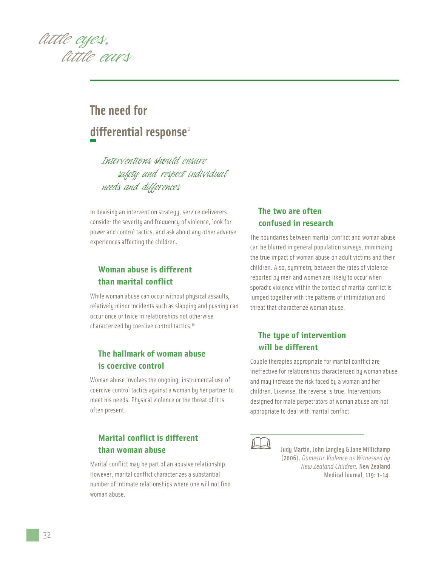

## **The need for differential response** <sup>2</sup>

*Interventions should ensure safety and respect individual needs and differences*

In devising an intervention strategy, service deliverers consider the severity and frequency of violence, look for power and control tactics, and ask about any other adverse experiences affecting the children.

#### **Woman abuse is different than marital conflict**

While woman abuse can occur without physical assaults, relatively minor incidents such as slapping and pushing can occur once or twice in relationships not otherwise characterized by coercive control tactics.<sup>19</sup>

### **The hallmark of woman abuse is coercive control**

Woman abuse involves the ongoing, instrumental use of coercive control tactics against a woman by her partner to meet his needs. Physical violence or the threat of it is often present.

## **Marital conflict is different than woman abuse**

Marital conflict may be part of an abusive relationship. However, marital conflict characterizes a substantial number of intimate relationships where one will not find woman abuse.

### **The two are often confused in research**

The boundaries between marital conflict and woman abuse can be blurred in general population surveys, minimizing the true impact of woman abuse on adult victims and their children. Also, symmetry between the rates of violence reported by men and women are likely to occur when sporadic violence within the context of marital conflict is lumped together with the patterns of intimidation and threat that characterize woman abuse.

## **The type of intervention will be different**

Couple therapies appropriate for marital conflict are ineffective for relationships characterized by woman abuse and may increase the risk faced by a woman and her children. Likewise, the reverse is true. Interventions designed for male perpetrators of woman abuse are not appropriate to deal with marital conflict.



Judy Martin, John Langley & Jane Millichamp (2006). *Domestic Violence as Witnessed by New Zealand Children*. New Zealand Medical Journal, 119: 1-14.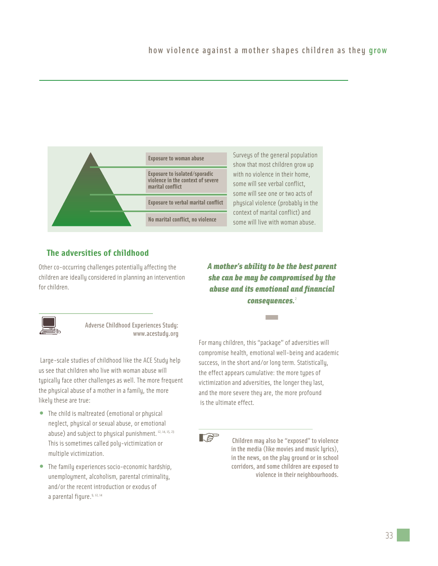| <b>Exposure to woman abuse</b>                                                         | Surveys of the general population<br>show that most children grow up<br>with no violence in their home,<br>some will see verbal conflict,<br>some will see one or two acts of |
|----------------------------------------------------------------------------------------|-------------------------------------------------------------------------------------------------------------------------------------------------------------------------------|
| Exposure to isolated/sporadic<br>violence in the context of severe<br>marital conflict |                                                                                                                                                                               |
| <b>Exposure to verbal marital conflict</b>                                             | physical violence (probably in the                                                                                                                                            |
| No marital conflict, no violence                                                       | context of marital conflict) and<br>some will live with woman abuse.                                                                                                          |

### **The adversities of childhood**

Other co-occurring challenges potentially affecting the children are ideally considered in planning an intervention for children.

*A mother's ability to be the best parent she can be may be compromised by the abuse and its emotional and financial consequences.*<sup>2</sup> **-**



Adverse Childhood Experiences Study: www.acestudy.org

Large-scale studies of childhood like the ACE Study help us see that children who live with woman abuse will typically face other challenges as well. The more frequent the physical abuse of a mother in a family, the more likely these are true:

- The child is maltreated (emotional or physical neglect, physical or sexual abuse, or emotional abuse) and subject to physical punishment.<sup>12, 14, 15, 23</sup> This is sometimes called poly-victimization or multiple victimization.
- The family experiences socio-economic hardship, unemployment, alcoholism, parental criminality, and/or the recent introduction or exodus of a parental figure. 9, 12, 14

For many children, this "package" of adversities will compromise health, emotional well-being and academic success, in the short and/or long term. Statistically, the effect appears cumulative: the more types of victimization and adversities, the longer they last, and the more severe they are, the more profound is the ultimate effect.

 $\mathbb{R}^n$ 

Children may also be "exposed" to violence in the media (like movies and music lyrics), in the news, on the play ground or in school corridors, and some children are exposed to violence in their neighbourhoods.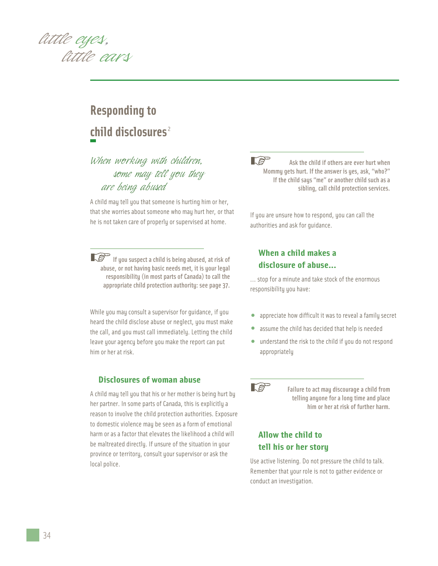

## **Responding to child disclosures** <sup>2</sup>

## *When working with children, some may tell you they are being abused*

A child may tell you that someone is hurting him or her, that she worries about someone who may hurt her, or that he is not taken care of properly or supervised at home.

If you suspect a child is being abused, at risk of abuse, or not having basic needs met, it is your legal responsibility (in most parts of Canada) to call the appropriate child protection authority: see page 37.

While you may consult a supervisor for guidance, if you heard the child disclose abuse or neglect, you must make the call, and you must call immediately. Letting the child leave your agency before you make the report can put him or her at risk.

#### **Disclosures of woman abuse**

A child may tell you that his or her mother is being hurt by her partner. In some parts of Canada, this is explicitly a reason to involve the child protection authorities. Exposure to domestic violence may be seen as a form of emotional harm or as a factor that elevates the likelihood a child will be maltreated directly. If unsure of the situation in your province or territory, consult your supervisor or ask the local police.

**LS** Ask the child if others are ever hurt when Mommy gets hurt. If the answer is yes, ask, "who?" If the child says "me" or another child such as a sibling, call child protection services.

If you are unsure how to respond, you can call the authorities and ask for guidance.

## **When a child makes a disclosure of abuse...**

... stop for a minute and take stock of the enormous responsibility you have:

- appreciate how difficult it was to reveal a family secret
- assume the child has decided that help is needed
- understand the risk to the child if you do not respond appropriately



Failure to act may discourage a child from telling anyone for a long time and place him or her at risk of further harm.

## **Allow the child to tell his or her story**

Use active listening. Do not pressure the child to talk. Remember that your role is not to gather evidence or conduct an investigation.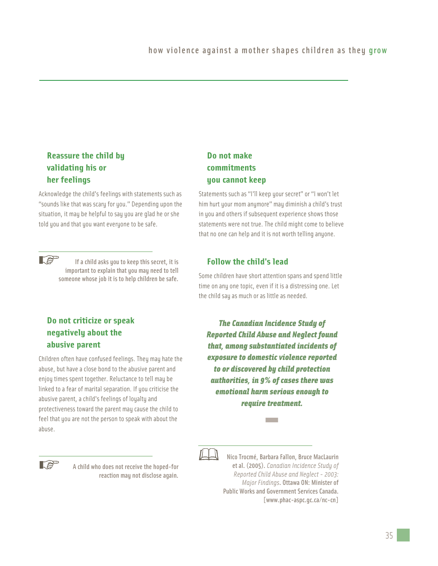## **Reassure the child by validating his or her feelings**

Acknowledge the child's feelings with statements such as "sounds like that was scary for you." Depending upon the situation, it may be helpful to say you are glad he or she told you and that you want everyone to be safe.



If a child asks you to keep this secret, it is important to explain that you may need to tell someone whose job it is to help children be safe.

## **Do not criticize or speak negatively about the abusive parent**

Children often have confused feelings. They may hate the abuse, but have a close bond to the abusive parent and enjoy times spent together. Reluctance to tell may be linked to a fear of marital separation. If you criticise the abusive parent, a child's feelings of loyalty and protectiveness toward the parent may cause the child to feel that you are not the person to speak with about the abuse.



A child who does not receive the hoped-for reaction may not disclose again.

## **Do not make commitments you cannot keep**

Statements such as "I'll keep your secret" or "I won't let him hurt your mom anymore" may diminish a child's trust in you and others if subsequent experience shows those statements were not true. The child might come to believe that no one can help and it is not worth telling anyone.

## **Follow the child's lead**

Some children have short attention spans and spend little time on any one topic, even if it is a distressing one. Let the child say as much or as little as needed.

*The Canadian Incidence Study of Reported Child Abuse and Neglect found that, among substantiated incidents of exposure to domestic violence reported to or discovered by child protection authorities, in 9% of cases there was emotional harm serious enough to require treatment.* **-**



Nico Trocmé, Barbara Fallon, Bruce MacLaurin et al. (2005). *Canadian Incidence Study of Reported Child Abuse and Neglect - 2003: Major Findings*. Ottawa ON: Minister of Public Works and Government Services Canada. [www.phac-aspc.gc.ca/nc-cn]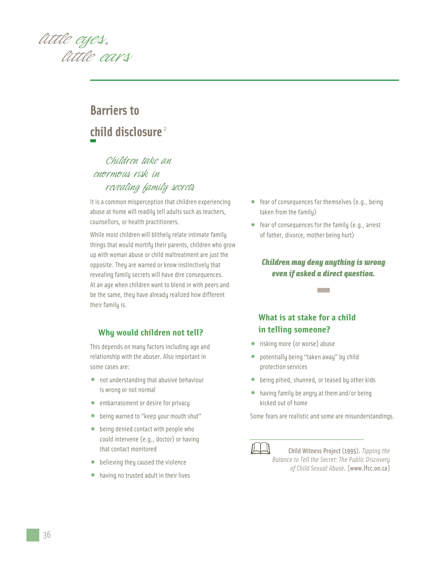

## **Barriers to child disclosure** <sup>2</sup>

## *Children take an enormous risk in revealing family secrets*

It is a common misperception that children experiencing abuse at home will readily tell adults such as teachers, counsellors, or health practitioners.

While most children will blithely relate intimate family things that would mortify their parents, children who grow up with woman abuse or child maltreatment are just the opposite. They are warned or know instinctively that revealing family secrets will have dire consequences. At an age when children want to blend in with peers and be the same, they have already realized how different their family is.

#### **Why would children not tell?**

This depends on many factors including age and relationship with the abuser. Also important in some cases are:

- not understanding that abusive behaviour is wrong or not normal
- embarrassment or desire for privacy
- being warned to "keep your mouth shut"
- being denied contact with people who could intervene (e.g., doctor) or having that contact monitored
- believing they caused the violence
- having no trusted adult in their lives
- fear of consequences for themselves (e.g., being taken from the family)
- fear of consequences for the family (e.g., arrest of father, divorce, mother being hurt)

# *Children may deny anything is wrong even if asked a direct question.* **-**

## **What is at stake for a child in telling someone?**

- risking more (or worse) abuse
- potentially being "taken away" by child protection services
- being pitied, shunned, or teased by other kids
- having family be angry at them and/or being kicked out of home

Some fears are realistic and some are misunderstandings.



Child Witness Project (1995). *Tipping the Balance to Tell the Secret: The Public Discovery of Child Sexual Abuse*. [www.lfcc.on.ca]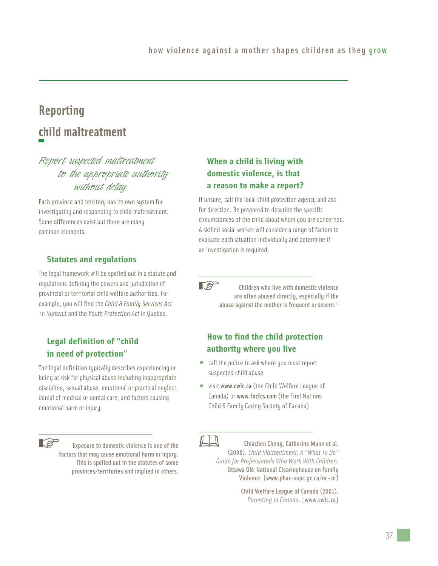## **Reporting child maltreatment**

## *Report suspected maltreatment to the appropriate authority without delay*

Each province and territory has its own system for investigating and responding to child maltreatment. Some differences exist but there are many common elements.

## **Statutes and regulations**

The legal framework will be spelled out in a statute and regulations defining the powers and jurisdiction of provincial or territorial child welfare authorities. For example, you will find the *Child & Family Services Act* in Nunavut and the *Youth Protection Act* in Quebec.

## **Legal definition of "child in need of protection"**

The legal definition typically describes experiencing or being at risk for physical abuse including inappropriate discipline, sexual abuse, emotional or practical neglect, denial of medical or dental care, and factors causing emotional harm or injury.

**LAP** 

Exposure to domestic violence is one of the factors that may cause emotional harm or injury. This is spelled out in the statutes of some provinces/territories and implied in others.

## **When a child is living with domestic violence, is that a reason to make a report?**

If unsure, call the local child protection agency and ask for direction. Be prepared to describe the specific circumstances of the child about whom you are concerned. A skilled social worker will consider a range of factors to evaluate each situation individually and determine if an investigation is required.

 $\mathbb{R}^n$ Children who live with domestic violence are often abused directly, especially if the abuse against the mother is frequent or severe.<sup>23</sup>

## **How to find the child protection authority where you live**

- call the police to ask where you must report suspected child abuse
- visit www.cwlc.ca(the Child Welfare League of Canada) or www.fncfcs.com (the First Nations Child & Family Caring Society of Canada)

Chiachen Cheng, Catherine Munn et al. (2006). *Child Maltreatment: A "What To Do" Guide for Professionals Who Work With Children*. Ottawa ON: National Clearinghouse on Family Violence. [www.phac-aspc.gc.ca/nc-cn]

> Child Welfare League of Canada (2001). *Parenting in Canada*. [www.cwlc.ca]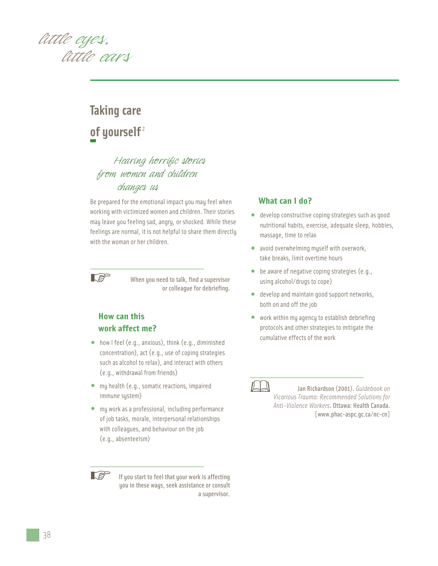*little eyes, little ears*

## **Taking care**  of yourself<sup>2</sup>

## *Hearing horrific stories from women and children changes us*

Be prepared for the emotional impact you may feel when working with victimized women and children. Their stories may leave you feeling sad, angry, or shocked. While these feelings are normal, it is not helpful to share them directly with the woman or her children.



When you need to talk, find a supervisor or colleague for debriefing.

## **How can this work affect me?**

- how I feel (e.g., anxious), think (e.g., diminished concentration), act (e.g., use of coping strategies such as alcohol to relax), and interact with others (e.g., withdrawal from friends)
- my health (e.g., somatic reactions, impaired immune system)
- my work as a professional, including performance of job tasks, morale, interpersonal relationships with colleagues, and behaviour on the job (e.g., absenteeism)

**REP** 

If you start to feel that your work is affecting you in these ways, seek assistance or consult a supervisor.

#### **What can I do?**

- develop constructive coping strategies such as good nutritional habits, exercise, adequate sleep, hobbies, massage, time to relax
- avoid overwhelming myself with overwork, take breaks, limit overtime hours
- be aware of negative coping strategies (e.g., using alcohol/drugs to cope)
- develop and maintain good support networks, both on and off the job
- work within my agency to establish debriefing protocols and other strategies to mitigate the cumulative effects of the work



Jan Richardson (2001). *Guidebook on Vicarious Trauma: Recommended Solutions for Anti-Violence Workers*. Ottawa: Health Canada. [www.phac-aspc.gc.ca/nc-cn]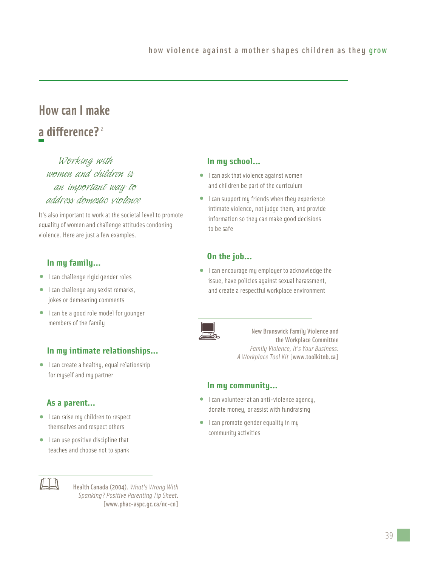## **How can I make a difference?** <sup>2</sup>

*Working with women and children is an important way to address domestic violence*

It's also important to work at the societal level to promote equality of women and challenge attitudes condoning violence. Here are just a few examples.

## **In my family...**

- I can challenge rigid gender roles
- I can challenge any sexist remarks, jokes or demeaning comments
- I can be a good role model for younger members of the family

## **In my intimate relationships...**

• I can create a healthy, equal relationship for myself and my partner

## **As a parent...**

- I can raise my children to respect themselves and respect others
- I can use positive discipline that teaches and choose not to spank



Health Canada (2004). *What's Wrong With Spanking? Positive Parenting Tip Sheet*. [www.phac-aspc.gc.ca/nc-cn]

## **In my school...**

- I can ask that violence against women and children be part of the curriculum
- I can support my friends when they experience intimate violence, not judge them, and provide information so they can make good decisions to be safe

## **On the job...**

• I can encourage my employer to acknowledge the issue, have policies against sexual harassment, and create a respectful workplace environment



New Brunswick Family Violence and the Workplace Committee *Family Violence, It's Your Business: A Workplace Tool Kit* [www.toolkitnb.ca]

#### **In my community...**

- I can volunteer at an anti-violence agency, donate money, or assist with fundraising
- I can promote gender equality in my community activities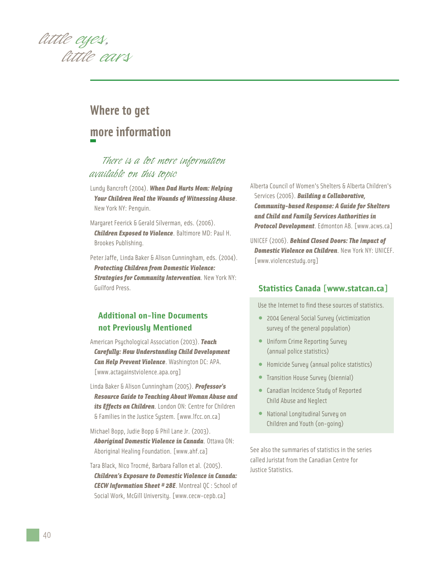

## **Where to get more information**

## *There is a lot more information available on this topic*

- Lundy Bancroft (2004). *When Dad Hurts Mom: Helping Your Children Heal the Wounds of Witnessing Abuse*. New York NY: Penguin.
- Margaret Feerick & Gerald Silverman, eds. (2006). *Children Exposed to Violence*. Baltimore MD: Paul H. Brookes Publishing.
- Peter Jaffe, Linda Baker & Alison Cunningham, eds. (2004). *Protecting Children from Domestic Violence: Strategies for Community Intervention*. New York NY: Guilford Press.

## **Additional on-line Documents not Previously Mentioned**

- American Psychological Association (2003). *Teach Carefully: How Understanding Child Development Can Help Prevent Violence*. Washington DC: APA. [www.actagainstviolence.apa.org]
- Linda Baker & Alison Cunningham (2005). *Professor's Resource Guide to Teaching About Woman Abuse and its Effects on Children*. London ON: Centre for Children & Families in the Justice System. [www.lfcc.on.ca]
- Michael Bopp, Judie Bopp & Phil Lane Jr. (2003). *Aboriginal Domestic Violence in Canada*. Ottawa ON: Aboriginal Healing Foundation. [www.ahf.ca]
- Tara Black, Nico Trocmé, Barbara Fallon et al. (2005). *Children's Exposure to Domestic Violence in Canada: CECW Information Sheet # 28E*. Montreal QC : School of Social Work, McGill University. [www.cecw-cepb.ca]

Alberta Council of Women's Shelters & Alberta Children's Services (2006). *Building a Collaborative, Community-based Response: A Guide for Shelters and Child and Family Services Authorities in Protocol Development*. Edmonton AB. [www.acws.ca]

UNICEF (2006). *Behind Closed Doors: The Impact of Domestic Violence on Children*. New York NY: UNICEF. [www.violencestudy.org]

#### **Statistics Canada [www.statcan.ca]**

Use the Internet to find these sources of statistics.

- 2004 General Social Survey (victimization survey of the general population)
- Uniform Crime Reporting Survey (annual police statistics)
- Homicide Survey (annual police statistics)
- Transition House Survey (biennial)
- Canadian Incidence Study of Reported Child Abuse and Neglect
- National Longitudinal Survey on Children and Youth (on-going)

See also the summaries of statistics in the series called Juristat from the Canadian Centre for Justice Statistics.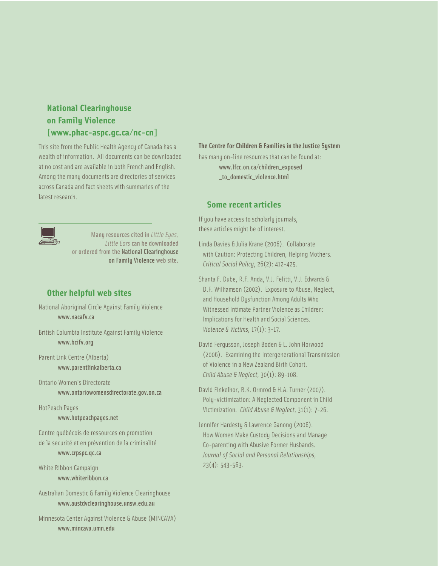## **National Clearinghouse on Family Violence [www.phac-aspc.gc.ca/nc-cn]**

This site from the Public Health Agency of Canada has a wealth of information. All documents can be downloaded at no cost and are available in both French and English. Among the many documents are directories of services across Canada and fact sheets with summaries of the latest research.



Many resources cited in *Little Eyes, Little Ears* can be downloaded or ordered from the National Clearinghouse on Family Violence web site.

## **Other helpful web sites**

National Aboriginal Circle Against Family Violence www.nacafv.ca

British Columbia Institute Against Family Violence www.bcifv.org

Parent Link Centre (Alberta) www.parentlinkalberta.ca

Ontario Women's Directorate www.ontariowomensdirectorate.gov.on.ca

HotPeach Pages

#### www.hotpeachpages.net

Centre québécois de ressources en promotion de la securité et en prévention de la criminalité www.crpspc.qc.ca

White Ribbon Campaign www.whiteribbon.ca

Australian Domestic & Family Violence Clearinghouse www.austdvclearinghouse.unsw.edu.au

Minnesota Center Against Violence & Abuse (MINCAVA) www.mincava.umn.edu

#### **The Centre for Children & Families in the Justice System**

has many on-line resources that can be found at: www.lfcc.on.ca/children\_exposed \_to\_domestic\_violence.html

#### **Some recent articles**

If you have access to scholarly journals, these articles might be of interest.

Linda Davies & Julia Krane (2006). Collaborate with Caution: Protecting Children, Helping Mothers. *Critical Social Policy*, 26(2): 412-425.

Shanta F. Dube, R.F. Anda, V.J. Felitti, V.J. Edwards & D.F. Williamson (2002). Exposure to Abuse, Neglect, and Household Dysfunction Among Adults Who Witnessed Intimate Partner Violence as Children: Implications for Health and Social Sciences. *Violence & Victims*, 17(1): 3-17.

David Fergusson, Joseph Boden & L. John Horwood (2006). Examining the Intergenerational Transmission of Violence in a New Zealand Birth Cohort. *Child Abuse & Neglect*, 30(1): 89-108.

David Finkelhor, R.K. Ormrod & H.A. Turner (2007). Poly-victimization: A Neglected Component in Child Victimization. *Child Abuse & Neglect*, 31(1): 7-26.

Jennifer Hardesty & Lawrence Ganong (2006). How Women Make Custody Decisions and Manage Co-parenting with Abusive Former Husbands. *Journal of Social and Personal Relationships*, 23(4): 543-563.